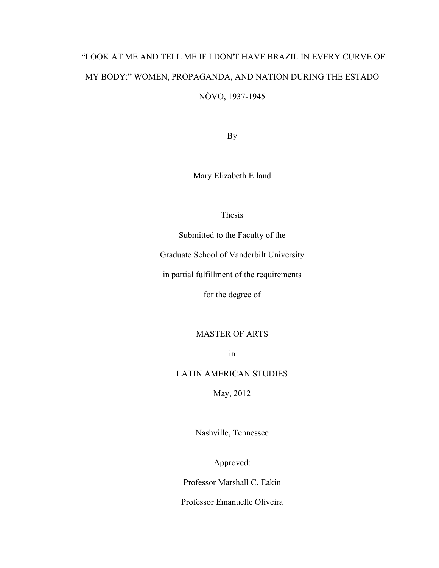# "LOOK AT ME AND TELL ME IF I DON'T HAVE BRAZIL IN EVERY CURVE OF MY BODY:" WOMEN, PROPAGANDA, AND NATION DURING THE ESTADO NÔVO, 1937-1945

By

Mary Elizabeth Eiland

Thesis

Submitted to the Faculty of the

Graduate School of Vanderbilt University

in partial fulfillment of the requirements

for the degree of

MASTER OF ARTS

in

LATIN AMERICAN STUDIES

May, 2012

Nashville, Tennessee

Approved:

Professor Marshall C. Eakin

Professor Emanuelle Oliveira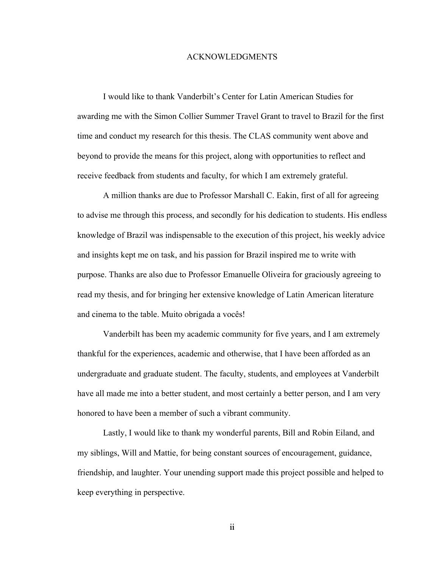#### ACKNOWLEDGMENTS

I would like to thank Vanderbilt's Center for Latin American Studies for awarding me with the Simon Collier Summer Travel Grant to travel to Brazil for the first time and conduct my research for this thesis. The CLAS community went above and beyond to provide the means for this project, along with opportunities to reflect and receive feedback from students and faculty, for which I am extremely grateful.

A million thanks are due to Professor Marshall C. Eakin, first of all for agreeing to advise me through this process, and secondly for his dedication to students. His endless knowledge of Brazil was indispensable to the execution of this project, his weekly advice and insights kept me on task, and his passion for Brazil inspired me to write with purpose. Thanks are also due to Professor Emanuelle Oliveira for graciously agreeing to read my thesis, and for bringing her extensive knowledge of Latin American literature and cinema to the table. Muito obrigada a vocês!

Vanderbilt has been my academic community for five years, and I am extremely thankful for the experiences, academic and otherwise, that I have been afforded as an undergraduate and graduate student. The faculty, students, and employees at Vanderbilt have all made me into a better student, and most certainly a better person, and I am very honored to have been a member of such a vibrant community.

Lastly, I would like to thank my wonderful parents, Bill and Robin Eiland, and my siblings, Will and Mattie, for being constant sources of encouragement, guidance, friendship, and laughter. Your unending support made this project possible and helped to keep everything in perspective.

ii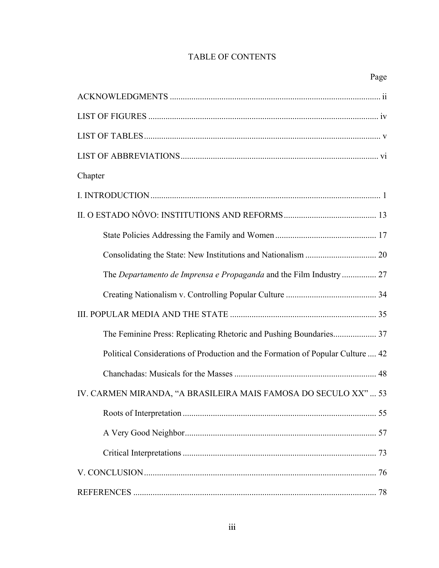# TABLE OF CONTENTS

| Chapter                                                                         |  |
|---------------------------------------------------------------------------------|--|
|                                                                                 |  |
|                                                                                 |  |
|                                                                                 |  |
|                                                                                 |  |
| The Departamento de Imprensa e Propaganda and the Film Industry  27             |  |
|                                                                                 |  |
|                                                                                 |  |
| The Feminine Press: Replicating Rhetoric and Pushing Boundaries 37              |  |
| Political Considerations of Production and the Formation of Popular Culture  42 |  |
|                                                                                 |  |
| IV. CARMEN MIRANDA, "A BRASILEIRA MAIS FAMOSA DO SECULO XX"  53                 |  |
|                                                                                 |  |
|                                                                                 |  |
|                                                                                 |  |
|                                                                                 |  |
|                                                                                 |  |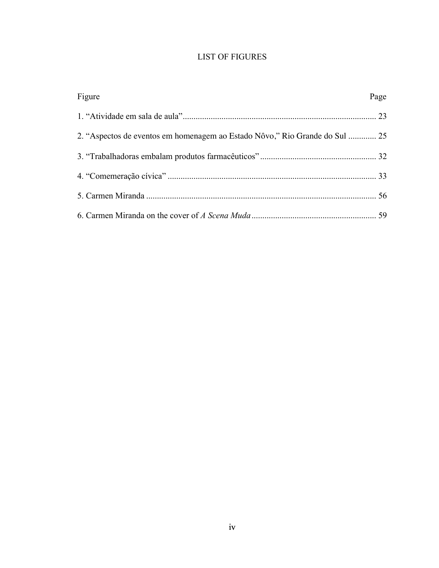# LIST OF FIGURES

| Figure                                                                      | Page |
|-----------------------------------------------------------------------------|------|
|                                                                             |      |
| 2. "Aspectos de eventos em homenagem ao Estado Nôvo," Rio Grande do Sul  25 |      |
|                                                                             |      |
|                                                                             |      |
|                                                                             |      |
|                                                                             |      |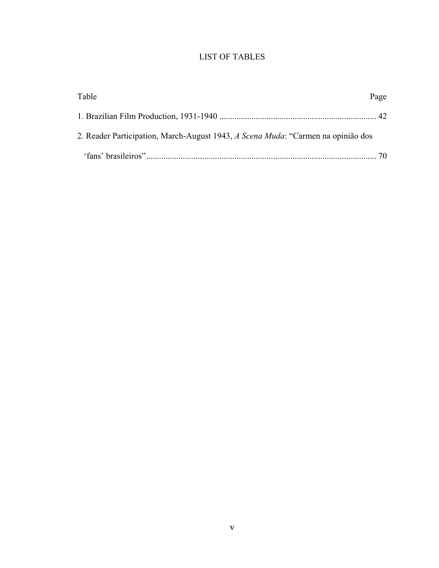# LIST OF TABLES

| Table                                                                            | Page |
|----------------------------------------------------------------------------------|------|
|                                                                                  |      |
| 2. Reader Participation, March-August 1943, A Scena Muda: "Carmen na opinião dos |      |
|                                                                                  |      |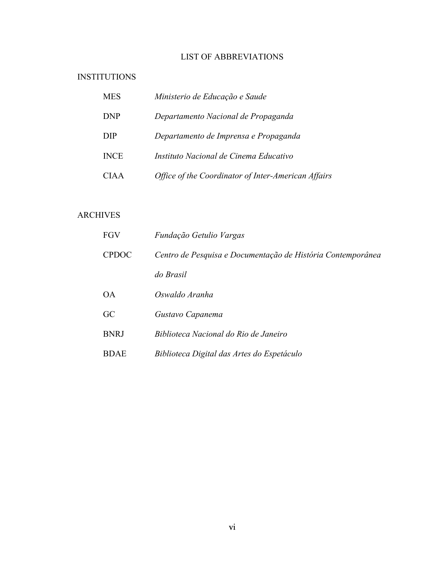# LIST OF ABBREVIATIONS

# INSTITUTIONS

| <b>MES</b>  | Ministerio de Educação e Saude                      |
|-------------|-----------------------------------------------------|
| <b>DNP</b>  | Departamento Nacional de Propaganda                 |
| <b>DIP</b>  | Departamento de Imprensa e Propaganda               |
| <b>INCE</b> | Instituto Nacional de Cinema Educativo              |
| <b>CIAA</b> | Office of the Coordinator of Inter-American Affairs |

## ARCHIVES

| FGV          | Fundação Getulio Vargas                                     |
|--------------|-------------------------------------------------------------|
| <b>CPDOC</b> | Centro de Pesquisa e Documentação de História Contemporânea |
|              | do Brasil                                                   |
| <b>OA</b>    | Oswaldo Aranha                                              |
| GC           | Gustavo Capanema                                            |
| <b>BNRJ</b>  | Biblioteca Nacional do Rio de Janeiro                       |
| <b>BDAE</b>  | Biblioteca Digital das Artes do Espetáculo                  |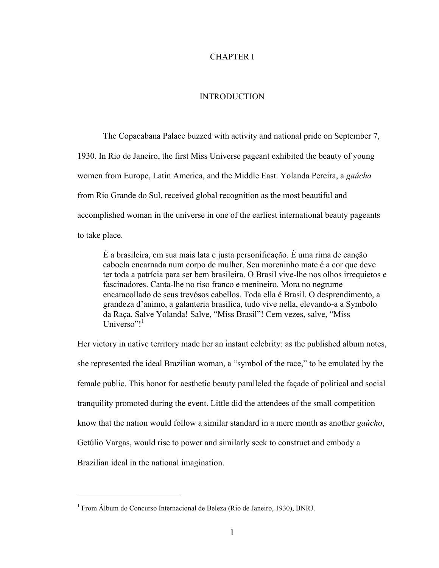## CHAPTER I

## INTRODUCTION

The Copacabana Palace buzzed with activity and national pride on September 7, 1930. In Rio de Janeiro, the first Miss Universe pageant exhibited the beauty of young women from Europe, Latin America, and the Middle East. Yolanda Pereira, a *gaúcha* from Rio Grande do Sul, received global recognition as the most beautiful and accomplished woman in the universe in one of the earliest international beauty pageants to take place.

É a brasileira, em sua mais lata e justa personificação. É uma rima de canção cabocla encarnada num corpo de mulher. Seu moreninho mate é a cor que deve ter toda a patrícia para ser bem brasileira. O Brasil vive-lhe nos olhos irrequietos e fascinadores. Canta-lhe no riso franco e menineiro. Mora no negrume encaracollado de seus trevósos cabellos. Toda ella é Brasil. O desprendimento, a grandeza d'animo, a galanteria brasilica, tudo vive nella, elevando-a a Symbolo da Raça. Salve Yolanda! Salve, "Miss Brasil"! Cem vezes, salve, "Miss Universo"! $1$ 

Her victory in native territory made her an instant celebrity: as the published album notes, she represented the ideal Brazilian woman, a "symbol of the race," to be emulated by the female public. This honor for aesthetic beauty paralleled the façade of political and social tranquility promoted during the event. Little did the attendees of the small competition know that the nation would follow a similar standard in a mere month as another *gaúcho*, Getúlio Vargas, would rise to power and similarly seek to construct and embody a Brazilian ideal in the national imagination.

 $\overline{a}$ 

<sup>&</sup>lt;sup>1</sup> From Álbum do Concurso Internacional de Beleza (Rio de Janeiro, 1930), BNRJ.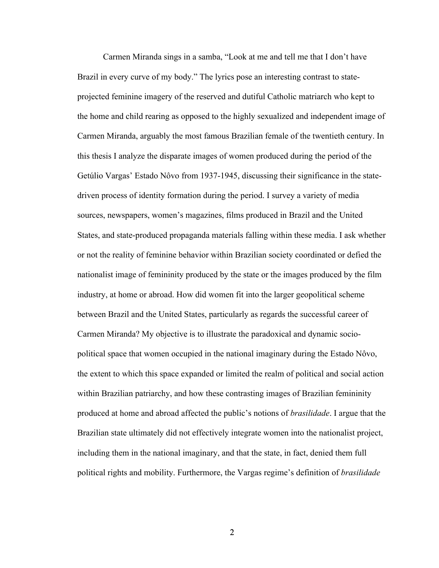Carmen Miranda sings in a samba, "Look at me and tell me that I don't have Brazil in every curve of my body." The lyrics pose an interesting contrast to stateprojected feminine imagery of the reserved and dutiful Catholic matriarch who kept to the home and child rearing as opposed to the highly sexualized and independent image of Carmen Miranda, arguably the most famous Brazilian female of the twentieth century. In this thesis I analyze the disparate images of women produced during the period of the Getúlio Vargas' Estado Nôvo from 1937-1945, discussing their significance in the statedriven process of identity formation during the period. I survey a variety of media sources, newspapers, women's magazines, films produced in Brazil and the United States, and state-produced propaganda materials falling within these media. I ask whether or not the reality of feminine behavior within Brazilian society coordinated or defied the nationalist image of femininity produced by the state or the images produced by the film industry, at home or abroad. How did women fit into the larger geopolitical scheme between Brazil and the United States, particularly as regards the successful career of Carmen Miranda? My objective is to illustrate the paradoxical and dynamic sociopolitical space that women occupied in the national imaginary during the Estado Nôvo, the extent to which this space expanded or limited the realm of political and social action within Brazilian patriarchy, and how these contrasting images of Brazilian femininity produced at home and abroad affected the public's notions of *brasilidade*. I argue that the Brazilian state ultimately did not effectively integrate women into the nationalist project, including them in the national imaginary, and that the state, in fact, denied them full political rights and mobility. Furthermore, the Vargas regime's definition of *brasilidade*

2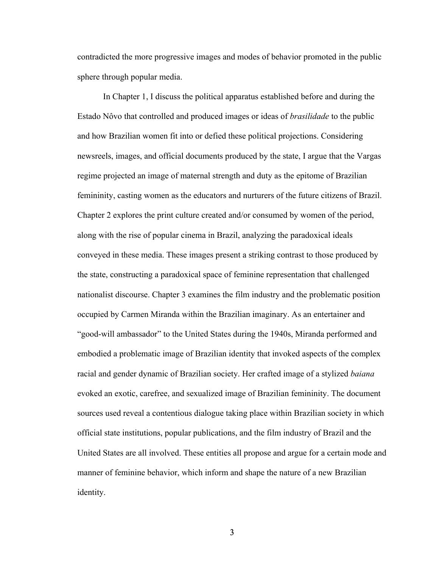contradicted the more progressive images and modes of behavior promoted in the public sphere through popular media.

In Chapter 1, I discuss the political apparatus established before and during the Estado Nôvo that controlled and produced images or ideas of *brasilidade* to the public and how Brazilian women fit into or defied these political projections. Considering newsreels, images, and official documents produced by the state, I argue that the Vargas regime projected an image of maternal strength and duty as the epitome of Brazilian femininity, casting women as the educators and nurturers of the future citizens of Brazil. Chapter 2 explores the print culture created and/or consumed by women of the period, along with the rise of popular cinema in Brazil, analyzing the paradoxical ideals conveyed in these media. These images present a striking contrast to those produced by the state, constructing a paradoxical space of feminine representation that challenged nationalist discourse. Chapter 3 examines the film industry and the problematic position occupied by Carmen Miranda within the Brazilian imaginary. As an entertainer and "good-will ambassador" to the United States during the 1940s, Miranda performed and embodied a problematic image of Brazilian identity that invoked aspects of the complex racial and gender dynamic of Brazilian society. Her crafted image of a stylized *baiana* evoked an exotic, carefree, and sexualized image of Brazilian femininity. The document sources used reveal a contentious dialogue taking place within Brazilian society in which official state institutions, popular publications, and the film industry of Brazil and the United States are all involved. These entities all propose and argue for a certain mode and manner of feminine behavior, which inform and shape the nature of a new Brazilian identity.

3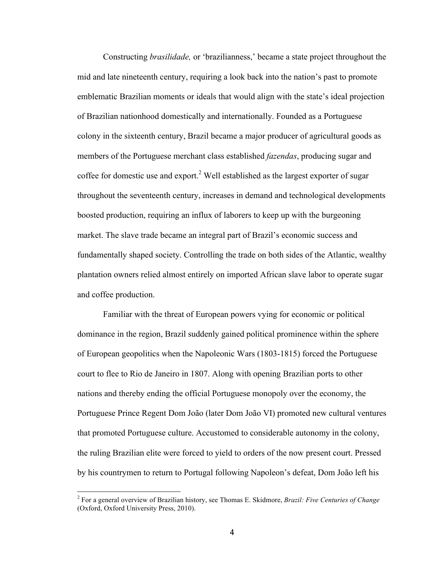Constructing *brasilidade,* or 'brazilianness,' became a state project throughout the mid and late nineteenth century, requiring a look back into the nation's past to promote emblematic Brazilian moments or ideals that would align with the state's ideal projection of Brazilian nationhood domestically and internationally. Founded as a Portuguese colony in the sixteenth century, Brazil became a major producer of agricultural goods as members of the Portuguese merchant class established *fazendas*, producing sugar and coffee for domestic use and export.<sup>2</sup> Well established as the largest exporter of sugar throughout the seventeenth century, increases in demand and technological developments boosted production, requiring an influx of laborers to keep up with the burgeoning market. The slave trade became an integral part of Brazil's economic success and fundamentally shaped society. Controlling the trade on both sides of the Atlantic, wealthy plantation owners relied almost entirely on imported African slave labor to operate sugar and coffee production.

Familiar with the threat of European powers vying for economic or political dominance in the region, Brazil suddenly gained political prominence within the sphere of European geopolitics when the Napoleonic Wars (1803-1815) forced the Portuguese court to flee to Rio de Janeiro in 1807. Along with opening Brazilian ports to other nations and thereby ending the official Portuguese monopoly over the economy, the Portuguese Prince Regent Dom João (later Dom João VI) promoted new cultural ventures that promoted Portuguese culture. Accustomed to considerable autonomy in the colony, the ruling Brazilian elite were forced to yield to orders of the now present court. Pressed by his countrymen to return to Portugal following Napoleon's defeat, Dom João left his

 <sup>2</sup> For a general overview of Brazilian history, see Thomas E. Skidmore, *Brazil: Five Centuries of Change* (Oxford, Oxford University Press, 2010).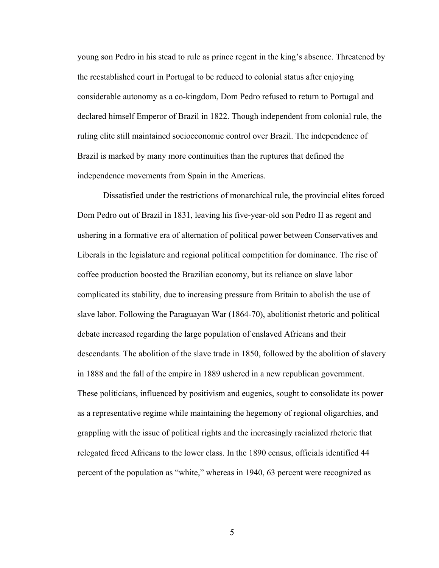young son Pedro in his stead to rule as prince regent in the king's absence. Threatened by the reestablished court in Portugal to be reduced to colonial status after enjoying considerable autonomy as a co-kingdom, Dom Pedro refused to return to Portugal and declared himself Emperor of Brazil in 1822. Though independent from colonial rule, the ruling elite still maintained socioeconomic control over Brazil. The independence of Brazil is marked by many more continuities than the ruptures that defined the independence movements from Spain in the Americas.

Dissatisfied under the restrictions of monarchical rule, the provincial elites forced Dom Pedro out of Brazil in 1831, leaving his five-year-old son Pedro II as regent and ushering in a formative era of alternation of political power between Conservatives and Liberals in the legislature and regional political competition for dominance. The rise of coffee production boosted the Brazilian economy, but its reliance on slave labor complicated its stability, due to increasing pressure from Britain to abolish the use of slave labor. Following the Paraguayan War (1864-70), abolitionist rhetoric and political debate increased regarding the large population of enslaved Africans and their descendants. The abolition of the slave trade in 1850, followed by the abolition of slavery in 1888 and the fall of the empire in 1889 ushered in a new republican government. These politicians, influenced by positivism and eugenics, sought to consolidate its power as a representative regime while maintaining the hegemony of regional oligarchies, and grappling with the issue of political rights and the increasingly racialized rhetoric that relegated freed Africans to the lower class. In the 1890 census, officials identified 44 percent of the population as "white," whereas in 1940, 63 percent were recognized as

5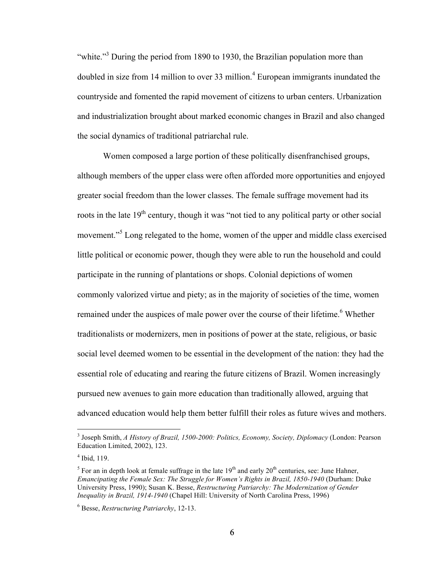"white."<sup>3</sup> During the period from 1890 to 1930, the Brazilian population more than doubled in size from 14 million to over 33 million.<sup>4</sup> European immigrants inundated the countryside and fomented the rapid movement of citizens to urban centers. Urbanization and industrialization brought about marked economic changes in Brazil and also changed the social dynamics of traditional patriarchal rule.

Women composed a large portion of these politically disenfranchised groups, although members of the upper class were often afforded more opportunities and enjoyed greater social freedom than the lower classes. The female suffrage movement had its roots in the late  $19<sup>th</sup>$  century, though it was "not tied to any political party or other social movement."<sup>5</sup> Long relegated to the home, women of the upper and middle class exercised little political or economic power, though they were able to run the household and could participate in the running of plantations or shops. Colonial depictions of women commonly valorized virtue and piety; as in the majority of societies of the time, women remained under the auspices of male power over the course of their lifetime.<sup>6</sup> Whether traditionalists or modernizers, men in positions of power at the state, religious, or basic social level deemed women to be essential in the development of the nation: they had the essential role of educating and rearing the future citizens of Brazil. Women increasingly pursued new avenues to gain more education than traditionally allowed, arguing that advanced education would help them better fulfill their roles as future wives and mothers.

 <sup>3</sup> Joseph Smith, *A History of Brazil, 1500-2000: Politics, Economy, Society, Diplomacy* (London: Pearson Education Limited, 2002), 123.

 $<sup>4</sup>$  Ibid, 119.</sup>

 $5$  For an in depth look at female suffrage in the late  $19<sup>th</sup>$  and early  $20<sup>th</sup>$  centuries, see: June Hahner, *Emancipating the Female Sex: The Struggle for Women's Rights in Brazil, 1850-1940* (Durham: Duke University Press, 1990); Susan K. Besse, *Restructuring Patriarchy: The Modernization of Gender Inequality in Brazil, 1914-1940* (Chapel Hill: University of North Carolina Press, 1996)

<sup>6</sup> Besse, *Restructuring Patriarchy*, 12-13.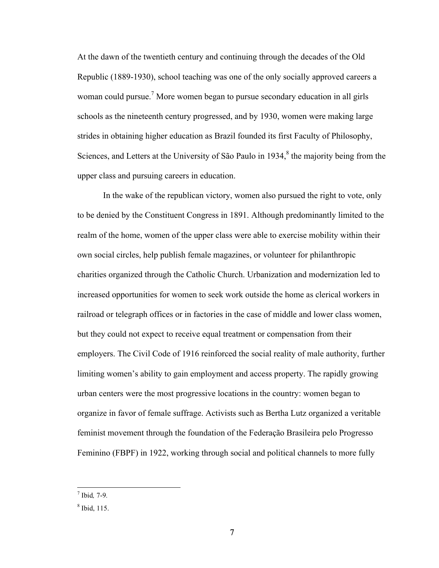At the dawn of the twentieth century and continuing through the decades of the Old Republic (1889-1930), school teaching was one of the only socially approved careers a woman could pursue.<sup>7</sup> More women began to pursue secondary education in all girls schools as the nineteenth century progressed, and by 1930, women were making large strides in obtaining higher education as Brazil founded its first Faculty of Philosophy, Sciences, and Letters at the University of São Paulo in  $1934$ ,<sup>8</sup> the majority being from the upper class and pursuing careers in education.

In the wake of the republican victory, women also pursued the right to vote, only to be denied by the Constituent Congress in 1891. Although predominantly limited to the realm of the home, women of the upper class were able to exercise mobility within their own social circles, help publish female magazines, or volunteer for philanthropic charities organized through the Catholic Church. Urbanization and modernization led to increased opportunities for women to seek work outside the home as clerical workers in railroad or telegraph offices or in factories in the case of middle and lower class women, but they could not expect to receive equal treatment or compensation from their employers. The Civil Code of 1916 reinforced the social reality of male authority, further limiting women's ability to gain employment and access property. The rapidly growing urban centers were the most progressive locations in the country: women began to organize in favor of female suffrage. Activists such as Bertha Lutz organized a veritable feminist movement through the foundation of the Federação Brasileira pelo Progresso Feminino (FBPF) in 1922, working through social and political channels to more fully

 <sup>7</sup> Ibid*,* 7-9*.*

<sup>8</sup> Ibid, 115.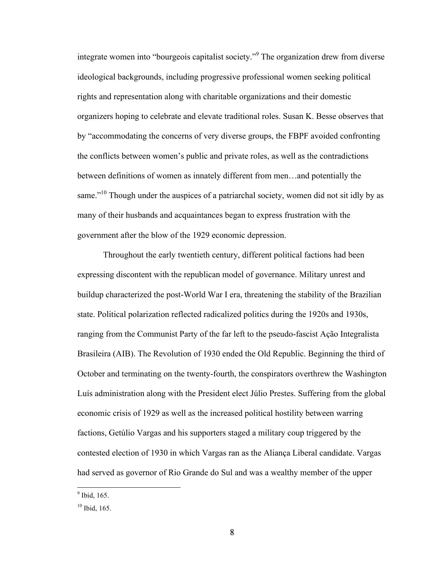integrate women into "bourgeois capitalist society."<sup>9</sup> The organization drew from diverse ideological backgrounds, including progressive professional women seeking political rights and representation along with charitable organizations and their domestic organizers hoping to celebrate and elevate traditional roles. Susan K. Besse observes that by "accommodating the concerns of very diverse groups, the FBPF avoided confronting the conflicts between women's public and private roles, as well as the contradictions between definitions of women as innately different from men…and potentially the same."<sup>10</sup> Though under the auspices of a patriarchal society, women did not sit idly by as many of their husbands and acquaintances began to express frustration with the government after the blow of the 1929 economic depression.

Throughout the early twentieth century, different political factions had been expressing discontent with the republican model of governance. Military unrest and buildup characterized the post-World War I era, threatening the stability of the Brazilian state. Political polarization reflected radicalized politics during the 1920s and 1930s, ranging from the Communist Party of the far left to the pseudo-fascist Ação Integralista Brasileira (AIB). The Revolution of 1930 ended the Old Republic. Beginning the third of October and terminating on the twenty-fourth, the conspirators overthrew the Washington Luís administration along with the President elect Júlio Prestes. Suffering from the global economic crisis of 1929 as well as the increased political hostility between warring factions, Getúlio Vargas and his supporters staged a military coup triggered by the contested election of 1930 in which Vargas ran as the Aliança Liberal candidate. Vargas had served as governor of Rio Grande do Sul and was a wealthy member of the upper

 $9$  Ibid, 165.

 $10$  Ibid, 165.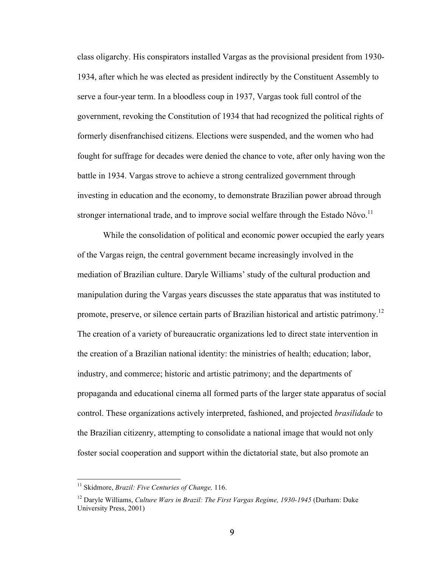class oligarchy. His conspirators installed Vargas as the provisional president from 1930- 1934, after which he was elected as president indirectly by the Constituent Assembly to serve a four-year term. In a bloodless coup in 1937, Vargas took full control of the government, revoking the Constitution of 1934 that had recognized the political rights of formerly disenfranchised citizens. Elections were suspended, and the women who had fought for suffrage for decades were denied the chance to vote, after only having won the battle in 1934. Vargas strove to achieve a strong centralized government through investing in education and the economy, to demonstrate Brazilian power abroad through stronger international trade, and to improve social welfare through the Estado Nôvo.<sup>11</sup>

While the consolidation of political and economic power occupied the early years of the Vargas reign, the central government became increasingly involved in the mediation of Brazilian culture. Daryle Williams' study of the cultural production and manipulation during the Vargas years discusses the state apparatus that was instituted to promote, preserve, or silence certain parts of Brazilian historical and artistic patrimony.<sup>12</sup> The creation of a variety of bureaucratic organizations led to direct state intervention in the creation of a Brazilian national identity: the ministries of health; education; labor, industry, and commerce; historic and artistic patrimony; and the departments of propaganda and educational cinema all formed parts of the larger state apparatus of social control. These organizations actively interpreted, fashioned, and projected *brasilidade* to the Brazilian citizenry, attempting to consolidate a national image that would not only foster social cooperation and support within the dictatorial state, but also promote an

 <sup>11</sup> Skidmore, *Brazil: Five Centuries of Change,* 116.

<sup>&</sup>lt;sup>12</sup> Daryle Williams, *Culture Wars in Brazil: The First Vargas Regime, 1930-1945* (Durham: Duke University Press, 2001)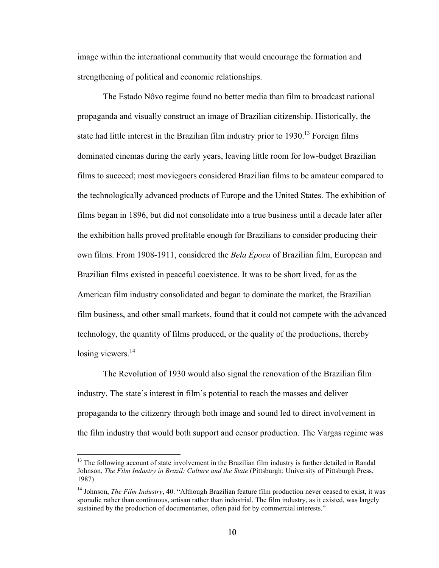image within the international community that would encourage the formation and strengthening of political and economic relationships.

The Estado Nôvo regime found no better media than film to broadcast national propaganda and visually construct an image of Brazilian citizenship. Historically, the state had little interest in the Brazilian film industry prior to  $1930$ .<sup>13</sup> Foreign films dominated cinemas during the early years, leaving little room for low-budget Brazilian films to succeed; most moviegoers considered Brazilian films to be amateur compared to the technologically advanced products of Europe and the United States. The exhibition of films began in 1896, but did not consolidate into a true business until a decade later after the exhibition halls proved profitable enough for Brazilians to consider producing their own films. From 1908-1911, considered the *Bela Época* of Brazilian film, European and Brazilian films existed in peaceful coexistence. It was to be short lived, for as the American film industry consolidated and began to dominate the market, the Brazilian film business, and other small markets, found that it could not compete with the advanced technology, the quantity of films produced, or the quality of the productions, thereby losing viewers. $^{14}$ 

The Revolution of 1930 would also signal the renovation of the Brazilian film industry. The state's interest in film's potential to reach the masses and deliver propaganda to the citizenry through both image and sound led to direct involvement in the film industry that would both support and censor production. The Vargas regime was

 $13$  The following account of state involvement in the Brazilian film industry is further detailed in Randal Johnson, *The Film Industry in Brazil: Culture and the State* (Pittsburgh: University of Pittsburgh Press, 1987)

<sup>14</sup> Johnson, *The Film Industry*, 40. "Although Brazilian feature film production never ceased to exist, it was sporadic rather than continuous, artisan rather than industrial. The film industry, as it existed, was largely sustained by the production of documentaries, often paid for by commercial interests."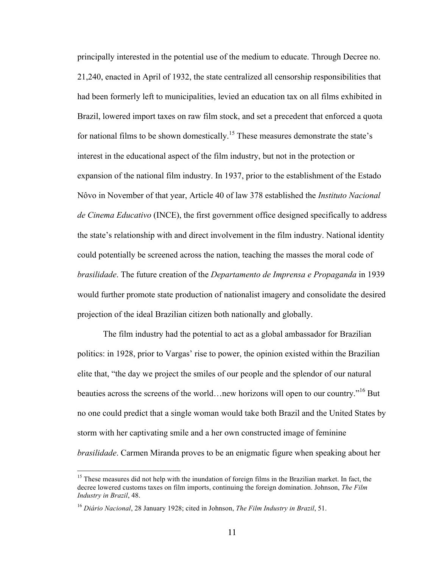principally interested in the potential use of the medium to educate. Through Decree no. 21,240, enacted in April of 1932, the state centralized all censorship responsibilities that had been formerly left to municipalities, levied an education tax on all films exhibited in Brazil, lowered import taxes on raw film stock, and set a precedent that enforced a quota for national films to be shown domestically.<sup>15</sup> These measures demonstrate the state's interest in the educational aspect of the film industry, but not in the protection or expansion of the national film industry. In 1937, prior to the establishment of the Estado Nôvo in November of that year, Article 40 of law 378 established the *Instituto Nacional de Cinema Educativo* (INCE), the first government office designed specifically to address the state's relationship with and direct involvement in the film industry. National identity could potentially be screened across the nation, teaching the masses the moral code of *brasilidade*. The future creation of the *Departamento de Imprensa e Propaganda* in 1939 would further promote state production of nationalist imagery and consolidate the desired projection of the ideal Brazilian citizen both nationally and globally.

The film industry had the potential to act as a global ambassador for Brazilian politics: in 1928, prior to Vargas' rise to power, the opinion existed within the Brazilian elite that, "the day we project the smiles of our people and the splendor of our natural beauties across the screens of the world…new horizons will open to our country."<sup>16</sup> But no one could predict that a single woman would take both Brazil and the United States by storm with her captivating smile and a her own constructed image of feminine *brasilidade*. Carmen Miranda proves to be an enigmatic figure when speaking about her

<sup>&</sup>lt;sup>15</sup> These measures did not help with the inundation of foreign films in the Brazilian market. In fact, the decree lowered customs taxes on film imports, continuing the foreign domination. Johnson, *The Film Industry in Brazil*, 48.

<sup>16</sup> *Diário Nacional*, 28 January 1928; cited in Johnson, *The Film Industry in Brazil*, 51.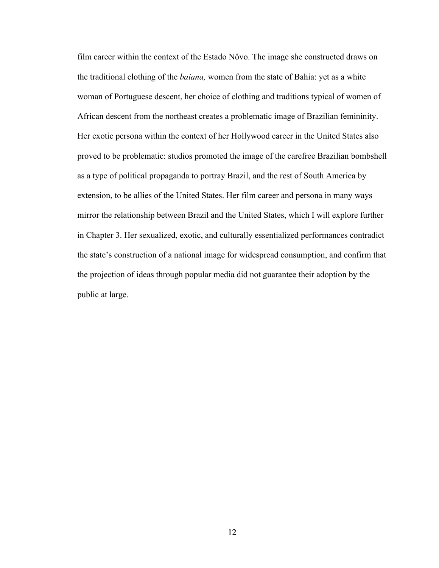film career within the context of the Estado Nôvo. The image she constructed draws on the traditional clothing of the *baiana,* women from the state of Bahia: yet as a white woman of Portuguese descent, her choice of clothing and traditions typical of women of African descent from the northeast creates a problematic image of Brazilian femininity. Her exotic persona within the context of her Hollywood career in the United States also proved to be problematic: studios promoted the image of the carefree Brazilian bombshell as a type of political propaganda to portray Brazil, and the rest of South America by extension, to be allies of the United States. Her film career and persona in many ways mirror the relationship between Brazil and the United States, which I will explore further in Chapter 3. Her sexualized, exotic, and culturally essentialized performances contradict the state's construction of a national image for widespread consumption, and confirm that the projection of ideas through popular media did not guarantee their adoption by the public at large.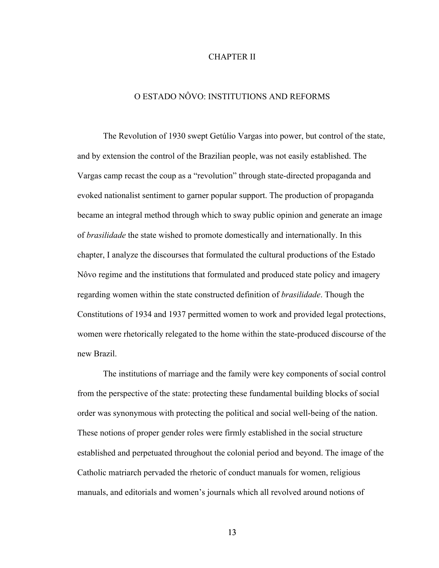## CHAPTER II

## O ESTADO NÔVO: INSTITUTIONS AND REFORMS

The Revolution of 1930 swept Getúlio Vargas into power, but control of the state, and by extension the control of the Brazilian people, was not easily established. The Vargas camp recast the coup as a "revolution" through state-directed propaganda and evoked nationalist sentiment to garner popular support. The production of propaganda became an integral method through which to sway public opinion and generate an image of *brasilidade* the state wished to promote domestically and internationally. In this chapter, I analyze the discourses that formulated the cultural productions of the Estado Nôvo regime and the institutions that formulated and produced state policy and imagery regarding women within the state constructed definition of *brasilidade*. Though the Constitutions of 1934 and 1937 permitted women to work and provided legal protections, women were rhetorically relegated to the home within the state-produced discourse of the new Brazil.

The institutions of marriage and the family were key components of social control from the perspective of the state: protecting these fundamental building blocks of social order was synonymous with protecting the political and social well-being of the nation. These notions of proper gender roles were firmly established in the social structure established and perpetuated throughout the colonial period and beyond. The image of the Catholic matriarch pervaded the rhetoric of conduct manuals for women, religious manuals, and editorials and women's journals which all revolved around notions of

13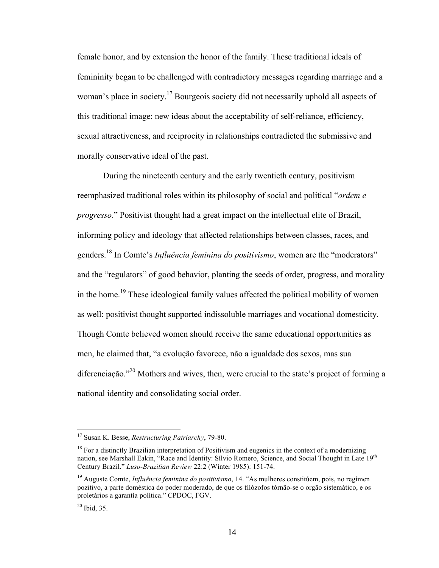female honor, and by extension the honor of the family. These traditional ideals of femininity began to be challenged with contradictory messages regarding marriage and a woman's place in society.<sup>17</sup> Bourgeois society did not necessarily uphold all aspects of this traditional image: new ideas about the acceptability of self-reliance, efficiency, sexual attractiveness, and reciprocity in relationships contradicted the submissive and morally conservative ideal of the past.

During the nineteenth century and the early twentieth century, positivism reemphasized traditional roles within its philosophy of social and political "*ordem e progresso*." Positivist thought had a great impact on the intellectual elite of Brazil, informing policy and ideology that affected relationships between classes, races, and genders.<sup>18</sup> In Comte's *Influência feminina do positivismo*, women are the "moderators" and the "regulators" of good behavior, planting the seeds of order, progress, and morality in the home.<sup>19</sup> These ideological family values affected the political mobility of women as well: positivist thought supported indissoluble marriages and vocational domesticity. Though Comte believed women should receive the same educational opportunities as men, he claimed that, "a evolução favorece, não a igualdade dos sexos, mas sua diferenciação."<sup>20</sup> Mothers and wives, then, were crucial to the state's project of forming a national identity and consolidating social order.

 <sup>17</sup> Susan K. Besse, *Restructuring Patriarchy*, 79-80.

<sup>&</sup>lt;sup>18</sup> For a distinctly Brazilian interpretation of Positivism and eugenics in the context of a modernizing nation, see Marshall Eakin, "Race and Identity: Sílvio Romero, Science, and Social Thought in Late 19<sup>th</sup> Century Brazil." *Luso-Brazilian Review* 22:2 (Winter 1985): 151-74.

<sup>19</sup> Auguste Comte, *Influência feminina do positivismo*, 14. "As mulheres constitúem, pois, no regímen pozitivo, a parte doméstica do poder moderado, de que os filózofos tórnão-se o orgão sistemático, e os proletários a garantía política." CPDOC, FGV.

 $20$  Ibid, 35.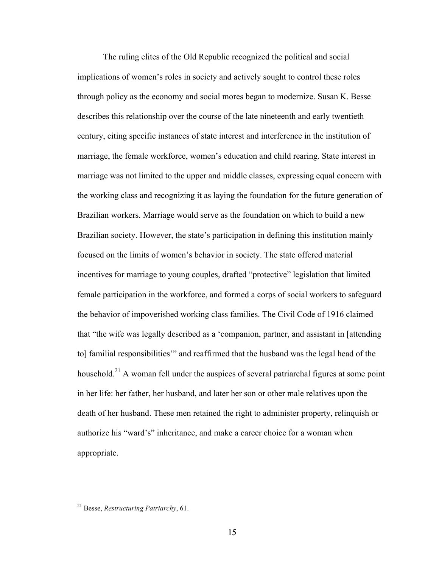The ruling elites of the Old Republic recognized the political and social implications of women's roles in society and actively sought to control these roles through policy as the economy and social mores began to modernize. Susan K. Besse describes this relationship over the course of the late nineteenth and early twentieth century, citing specific instances of state interest and interference in the institution of marriage, the female workforce, women's education and child rearing. State interest in marriage was not limited to the upper and middle classes, expressing equal concern with the working class and recognizing it as laying the foundation for the future generation of Brazilian workers. Marriage would serve as the foundation on which to build a new Brazilian society. However, the state's participation in defining this institution mainly focused on the limits of women's behavior in society. The state offered material incentives for marriage to young couples, drafted "protective" legislation that limited female participation in the workforce, and formed a corps of social workers to safeguard the behavior of impoverished working class families. The Civil Code of 1916 claimed that "the wife was legally described as a 'companion, partner, and assistant in [attending to] familial responsibilities'" and reaffirmed that the husband was the legal head of the household.<sup>21</sup> A woman fell under the auspices of several patriarchal figures at some point in her life: her father, her husband, and later her son or other male relatives upon the death of her husband. These men retained the right to administer property, relinquish or authorize his "ward's" inheritance, and make a career choice for a woman when appropriate.

 <sup>21</sup> Besse, *Restructuring Patriarchy*, 61.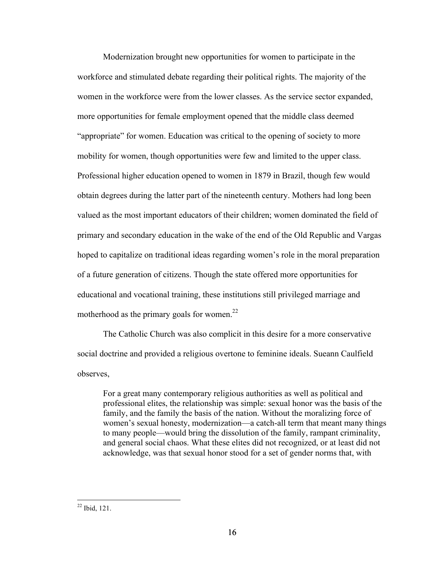Modernization brought new opportunities for women to participate in the workforce and stimulated debate regarding their political rights. The majority of the women in the workforce were from the lower classes. As the service sector expanded, more opportunities for female employment opened that the middle class deemed "appropriate" for women. Education was critical to the opening of society to more mobility for women, though opportunities were few and limited to the upper class. Professional higher education opened to women in 1879 in Brazil, though few would obtain degrees during the latter part of the nineteenth century. Mothers had long been valued as the most important educators of their children; women dominated the field of primary and secondary education in the wake of the end of the Old Republic and Vargas hoped to capitalize on traditional ideas regarding women's role in the moral preparation of a future generation of citizens. Though the state offered more opportunities for educational and vocational training, these institutions still privileged marriage and motherhood as the primary goals for women.<sup>22</sup>

The Catholic Church was also complicit in this desire for a more conservative social doctrine and provided a religious overtone to feminine ideals. Sueann Caulfield observes,

For a great many contemporary religious authorities as well as political and professional elites, the relationship was simple: sexual honor was the basis of the family, and the family the basis of the nation. Without the moralizing force of women's sexual honesty, modernization—a catch-all term that meant many things to many people—would bring the dissolution of the family, rampant criminality, and general social chaos. What these elites did not recognized, or at least did not acknowledge, was that sexual honor stood for a set of gender norms that, with

 <sup>22</sup> Ibid, 121.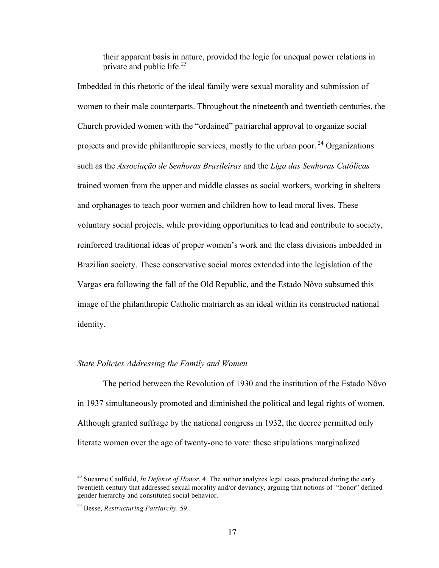their apparent basis in nature, provided the logic for unequal power relations in private and public life. $^{23}$ 

Imbedded in this rhetoric of the ideal family were sexual morality and submission of women to their male counterparts. Throughout the nineteenth and twentieth centuries, the Church provided women with the "ordained" patriarchal approval to organize social projects and provide philanthropic services, mostly to the urban poor.  $^{24}$  Organizations such as the *Associação de Senhoras Brasileiras* and the *Liga das Senhoras Católicas* trained women from the upper and middle classes as social workers, working in shelters and orphanages to teach poor women and children how to lead moral lives. These voluntary social projects, while providing opportunities to lead and contribute to society, reinforced traditional ideas of proper women's work and the class divisions imbedded in Brazilian society. These conservative social mores extended into the legislation of the Vargas era following the fall of the Old Republic, and the Estado Nôvo subsumed this image of the philanthropic Catholic matriarch as an ideal within its constructed national identity.

## *State Policies Addressing the Family and Women*

The period between the Revolution of 1930 and the institution of the Estado Nôvo in 1937 simultaneously promoted and diminished the political and legal rights of women. Although granted suffrage by the national congress in 1932, the decree permitted only literate women over the age of twenty-one to vote: these stipulations marginalized

<sup>&</sup>lt;sup>23</sup> Sueanne Caulfield, *In Defense of Honor*, 4. The author analyzes legal cases produced during the early twentieth century that addressed sexual morality and/or deviancy, arguing that notions of "honor" defined gender hierarchy and constituted social behavior.

<sup>24</sup> Besse, *Restructuring Patriarchy,* 59.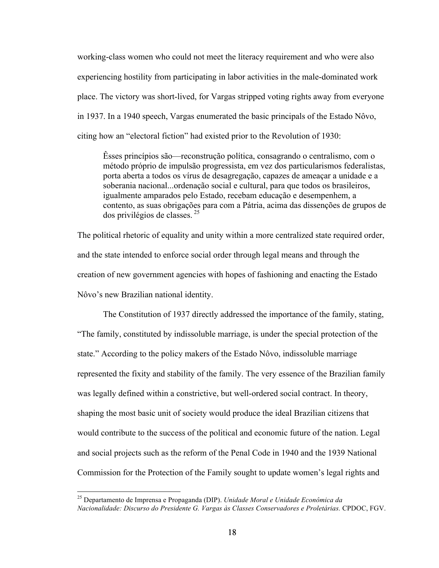working-class women who could not meet the literacy requirement and who were also experiencing hostility from participating in labor activities in the male-dominated work place. The victory was short-lived, for Vargas stripped voting rights away from everyone in 1937. In a 1940 speech, Vargas enumerated the basic principals of the Estado Nôvo, citing how an "electoral fiction" had existed prior to the Revolution of 1930:

Êsses princípios são—reconstrução política, consagrando o centralismo, com o método próprio de impulsão progressista, em vez dos particularismos federalistas, porta aberta a todos os vírus de desagregação, capazes de ameaçar a unidade e a soberania nacional...ordenação social e cultural, para que todos os brasileiros, igualmente amparados pelo Estado, recebam educação e desempenhem, a contento, as suas obrigações para com a Pátria, acima das dissenções de grupos de dos privilégios de classes. <sup>25</sup>

The political rhetoric of equality and unity within a more centralized state required order, and the state intended to enforce social order through legal means and through the creation of new government agencies with hopes of fashioning and enacting the Estado Nôvo's new Brazilian national identity.

The Constitution of 1937 directly addressed the importance of the family, stating, "The family, constituted by indissoluble marriage, is under the special protection of the state." According to the policy makers of the Estado Nôvo, indissoluble marriage represented the fixity and stability of the family. The very essence of the Brazilian family was legally defined within a constrictive, but well-ordered social contract. In theory, shaping the most basic unit of society would produce the ideal Brazilian citizens that would contribute to the success of the political and economic future of the nation. Legal and social projects such as the reform of the Penal Code in 1940 and the 1939 National Commission for the Protection of the Family sought to update women's legal rights and

 <sup>25</sup> Departamento de Imprensa e Propaganda (DIP). *Unidade Moral e Unidade Econômica da Nacionalidade: Discurso do Presidente G. Vargas às Classes Conservadores e Proletárias.* CPDOC, FGV.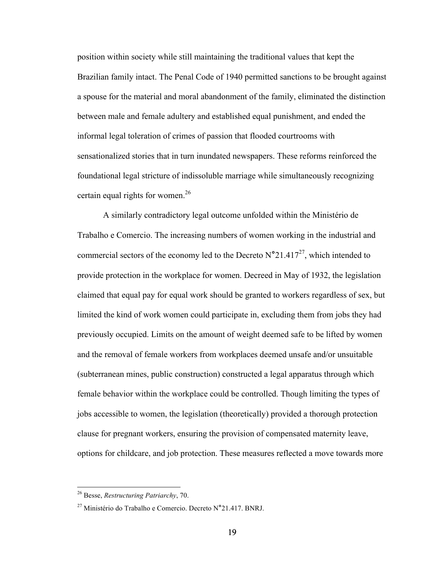position within society while still maintaining the traditional values that kept the Brazilian family intact. The Penal Code of 1940 permitted sanctions to be brought against a spouse for the material and moral abandonment of the family, eliminated the distinction between male and female adultery and established equal punishment, and ended the informal legal toleration of crimes of passion that flooded courtrooms with sensationalized stories that in turn inundated newspapers. These reforms reinforced the foundational legal stricture of indissoluble marriage while simultaneously recognizing certain equal rights for women.<sup>26</sup>

A similarly contradictory legal outcome unfolded within the Ministério de Trabalho e Comercio. The increasing numbers of women working in the industrial and commercial sectors of the economy led to the Decreto N**°**21.41727, which intended to provide protection in the workplace for women. Decreed in May of 1932, the legislation claimed that equal pay for equal work should be granted to workers regardless of sex, but limited the kind of work women could participate in, excluding them from jobs they had previously occupied. Limits on the amount of weight deemed safe to be lifted by women and the removal of female workers from workplaces deemed unsafe and/or unsuitable (subterranean mines, public construction) constructed a legal apparatus through which female behavior within the workplace could be controlled. Though limiting the types of jobs accessible to women, the legislation (theoretically) provided a thorough protection clause for pregnant workers, ensuring the provision of compensated maternity leave, options for childcare, and job protection. These measures reflected a move towards more

 <sup>26</sup> Besse, *Restructuring Patriarchy*, 70.

<sup>27</sup> Ministério do Trabalho e Comercio. Decreto N**°**21.417. BNRJ.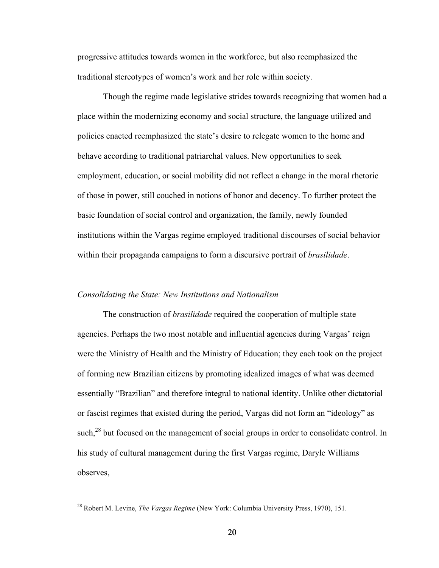progressive attitudes towards women in the workforce, but also reemphasized the traditional stereotypes of women's work and her role within society.

Though the regime made legislative strides towards recognizing that women had a place within the modernizing economy and social structure, the language utilized and policies enacted reemphasized the state's desire to relegate women to the home and behave according to traditional patriarchal values. New opportunities to seek employment, education, or social mobility did not reflect a change in the moral rhetoric of those in power, still couched in notions of honor and decency. To further protect the basic foundation of social control and organization, the family, newly founded institutions within the Vargas regime employed traditional discourses of social behavior within their propaganda campaigns to form a discursive portrait of *brasilidade*.

## *Consolidating the State: New Institutions and Nationalism*

The construction of *brasilidade* required the cooperation of multiple state agencies. Perhaps the two most notable and influential agencies during Vargas' reign were the Ministry of Health and the Ministry of Education; they each took on the project of forming new Brazilian citizens by promoting idealized images of what was deemed essentially "Brazilian" and therefore integral to national identity. Unlike other dictatorial or fascist regimes that existed during the period, Vargas did not form an "ideology" as such,<sup>28</sup> but focused on the management of social groups in order to consolidate control. In his study of cultural management during the first Vargas regime, Daryle Williams observes,

 <sup>28</sup> Robert M. Levine, *The Vargas Regime* (New York: Columbia University Press, 1970), 151.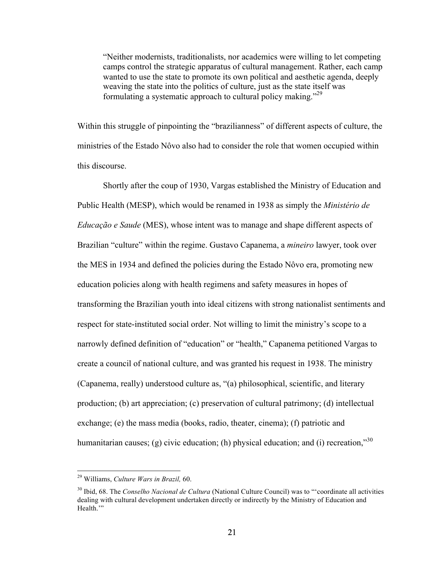"Neither modernists, traditionalists, nor academics were willing to let competing camps control the strategic apparatus of cultural management. Rather, each camp wanted to use the state to promote its own political and aesthetic agenda, deeply weaving the state into the politics of culture, just as the state itself was formulating a systematic approach to cultural policy making."<sup>29</sup>

Within this struggle of pinpointing the "brazilianness" of different aspects of culture, the ministries of the Estado Nôvo also had to consider the role that women occupied within this discourse.

Shortly after the coup of 1930, Vargas established the Ministry of Education and Public Health (MESP), which would be renamed in 1938 as simply the *Ministério de Educação e Saude* (MES), whose intent was to manage and shape different aspects of Brazilian "culture" within the regime. Gustavo Capanema, a *mineiro* lawyer, took over the MES in 1934 and defined the policies during the Estado Nôvo era, promoting new education policies along with health regimens and safety measures in hopes of transforming the Brazilian youth into ideal citizens with strong nationalist sentiments and respect for state-instituted social order. Not willing to limit the ministry's scope to a narrowly defined definition of "education" or "health," Capanema petitioned Vargas to create a council of national culture, and was granted his request in 1938. The ministry (Capanema, really) understood culture as, "(a) philosophical, scientific, and literary production; (b) art appreciation; (c) preservation of cultural patrimony; (d) intellectual exchange; (e) the mass media (books, radio, theater, cinema); (f) patriotic and humanitarian causes; (g) civic education; (h) physical education; and (i) recreation,"  $30$ 

 <sup>29</sup> Williams, *Culture Wars in Brazil,* 60.

<sup>30</sup> Ibid, 68. The *Conselho Nacional de Cultura* (National Culture Council) was to "'coordinate all activities dealing with cultural development undertaken directly or indirectly by the Ministry of Education and Health."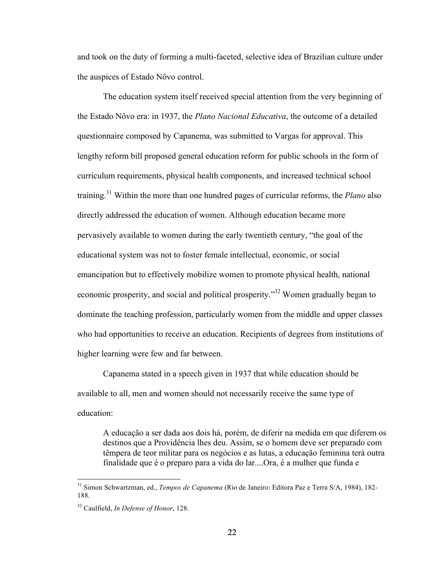and took on the duty of forming a multi-faceted, selective idea of Brazilian culture under the auspices of Estado Nôvo control.

The education system itself received special attention from the very beginning of the Estado Nôvo era: in 1937, the *Plano Nacional Educativa*, the outcome of a detailed questionnaire composed by Capanema, was submitted to Vargas for approval. This lengthy reform bill proposed general education reform for public schools in the form of curriculum requirements, physical health components, and increased technical school training.31 Within the more than one hundred pages of curricular reforms, the *Plano* also directly addressed the education of women. Although education became more pervasively available to women during the early twentieth century, "the goal of the educational system was not to foster female intellectual, economic, or social emancipation but to effectively mobilize women to promote physical health, national economic prosperity, and social and political prosperity."<sup>32</sup> Women gradually began to dominate the teaching profession, particularly women from the middle and upper classes who had opportunities to receive an education. Recipients of degrees from institutions of higher learning were few and far between.

Capanema stated in a speech given in 1937 that while education should be available to all, men and women should not necessarily receive the same type of education:

A educação a ser dada aos dois há, porém, de diferir na medida em que diferem os destinos que a Providência lhes deu. Assim, se o homem deve ser preparado com têmpera de teor militar para os negócios e as lutas, a educação feminina terá outra finalidade que é o preparo para a vida do lar....Ora, é a mulher que funda e

 <sup>31</sup> Simon Schwartzman, ed., *Tempos de Capanema* (Rio de Janeiro: Editora Paz e Terra S/A, 1984), 182- 188.

<sup>32</sup> Caulfield, *In Defense of Honor*, 128.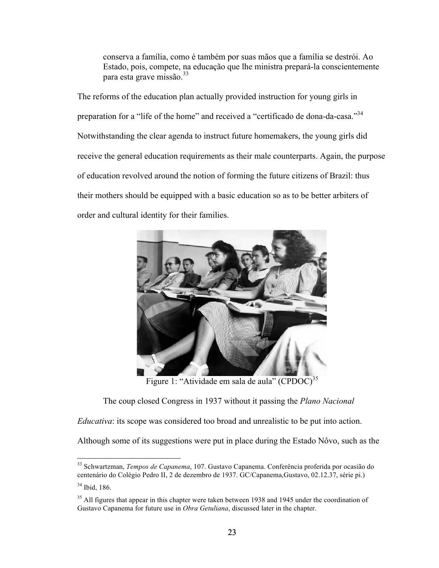conserva a família, como é também por suas mãos que a família se destrói. Ao Estado, pois, compete, na educação que lhe ministra prepará-la conscientemente para esta grave missão.<sup>33</sup>

The reforms of the education plan actually provided instruction for young girls in preparation for a "life of the home" and received a "certificado de dona-da-casa."<sup>34</sup> Notwithstanding the clear agenda to instruct future homemakers, the young girls did receive the general education requirements as their male counterparts. Again, the purpose of education revolved around the notion of forming the future citizens of Brazil: thus their mothers should be equipped with a basic education so as to be better arbiters of order and cultural identity for their families.



Figure 1: "Atividade em sala de aula" (CPDOC)<sup>35</sup>

The coup closed Congress in 1937 without it passing the *Plano Nacional* 

*Educativa*: its scope was considered too broad and unrealistic to be put into action.

Although some of its suggestions were put in place during the Estado Nôvo, such as the

 <sup>33</sup> Schwartzman, *Tempos de Capanema*, 107. Gustavo Capanema. Conferência proferida por ocasião do centenário do Colégio Pedro II, 2 de dezembro de 1937. GC/Capanema,Gustavo, 02.12.37, série pi.)

 $34$  Ibid, 186.

<sup>&</sup>lt;sup>35</sup> All figures that appear in this chapter were taken between 1938 and 1945 under the coordination of Gustavo Capanema for future use in *Obra Getuliana*, discussed later in the chapter.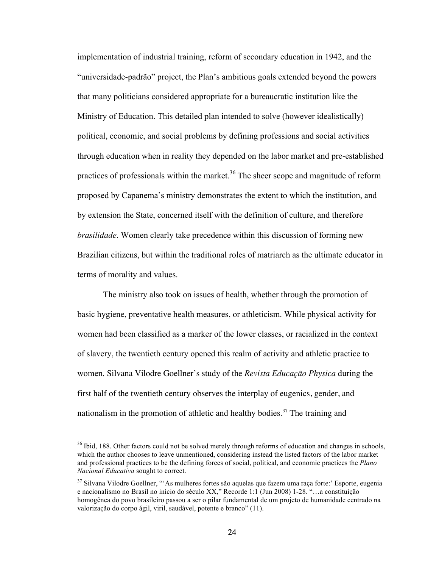implementation of industrial training, reform of secondary education in 1942, and the "universidade-padrão" project, the Plan's ambitious goals extended beyond the powers that many politicians considered appropriate for a bureaucratic institution like the Ministry of Education. This detailed plan intended to solve (however idealistically) political, economic, and social problems by defining professions and social activities through education when in reality they depended on the labor market and pre-established practices of professionals within the market.<sup>36</sup> The sheer scope and magnitude of reform proposed by Capanema's ministry demonstrates the extent to which the institution, and by extension the State, concerned itself with the definition of culture, and therefore *brasilidade*. Women clearly take precedence within this discussion of forming new Brazilian citizens, but within the traditional roles of matriarch as the ultimate educator in terms of morality and values.

The ministry also took on issues of health, whether through the promotion of basic hygiene, preventative health measures, or athleticism. While physical activity for women had been classified as a marker of the lower classes, or racialized in the context of slavery, the twentieth century opened this realm of activity and athletic practice to women. Silvana Vilodre Goellner's study of the *Revista Educação Physica* during the first half of the twentieth century observes the interplay of eugenics, gender, and nationalism in the promotion of athletic and healthy bodies.<sup>37</sup> The training and

<sup>&</sup>lt;sup>36</sup> Ibid, 188. Other factors could not be solved merely through reforms of education and changes in schools, which the author chooses to leave unmentioned, considering instead the listed factors of the labor market and professional practices to be the defining forces of social, political, and economic practices the *Plano Nacional Educativa* sought to correct.

<sup>&</sup>lt;sup>37</sup> Silvana Vilodre Goellner, "'As mulheres fortes são aquelas que fazem uma raça forte:' Esporte, eugenia e nacionalismo no Brasil no início do século XX," Recorde 1:1 (Jun 2008) 1-28. "…a constituição homogênea do povo brasileiro passou a ser o pilar fundamental de um projeto de humanidade centrado na valorização do corpo ágil, viril, saudável, potente e branco" (11).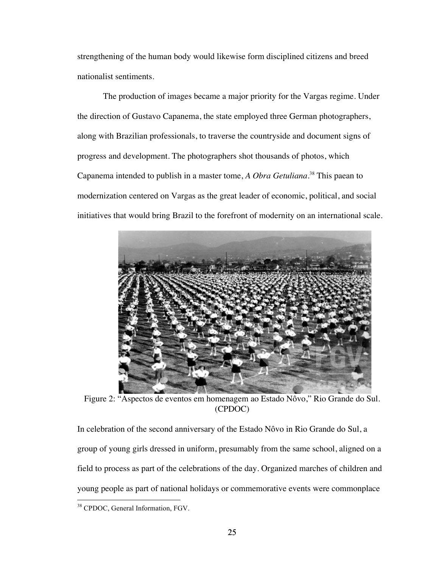strengthening of the human body would likewise form disciplined citizens and breed nationalist sentiments.

The production of images became a major priority for the Vargas regime. Under the direction of Gustavo Capanema, the state employed three German photographers, along with Brazilian professionals, to traverse the countryside and document signs of progress and development. The photographers shot thousands of photos, which Capanema intended to publish in a master tome, *A Obra Getuliana*. <sup>38</sup> This paean to modernization centered on Vargas as the great leader of economic, political, and social initiatives that would bring Brazil to the forefront of modernity on an international scale.



Figure 2: "Aspectos de eventos em homenagem ao Estado Nôvo," Rio Grande do Sul. (CPDOC)

In celebration of the second anniversary of the Estado Nôvo in Rio Grande do Sul, a group of young girls dressed in uniform, presumably from the same school, aligned on a field to process as part of the celebrations of the day. Organized marches of children and young people as part of national holidays or commemorative events were commonplace

<sup>&</sup>lt;sup>38</sup> CPDOC, General Information, FGV.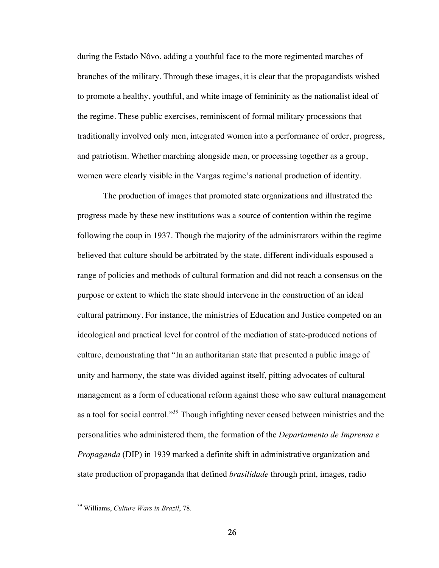during the Estado Nôvo, adding a youthful face to the more regimented marches of branches of the military. Through these images, it is clear that the propagandists wished to promote a healthy, youthful, and white image of femininity as the nationalist ideal of the regime. These public exercises, reminiscent of formal military processions that traditionally involved only men, integrated women into a performance of order, progress, and patriotism. Whether marching alongside men, or processing together as a group, women were clearly visible in the Vargas regime's national production of identity.

The production of images that promoted state organizations and illustrated the progress made by these new institutions was a source of contention within the regime following the coup in 1937. Though the majority of the administrators within the regime believed that culture should be arbitrated by the state, different individuals espoused a range of policies and methods of cultural formation and did not reach a consensus on the purpose or extent to which the state should intervene in the construction of an ideal cultural patrimony. For instance, the ministries of Education and Justice competed on an ideological and practical level for control of the mediation of state-produced notions of culture, demonstrating that "In an authoritarian state that presented a public image of unity and harmony, the state was divided against itself, pitting advocates of cultural management as a form of educational reform against those who saw cultural management as a tool for social control."<sup>39</sup> Though infighting never ceased between ministries and the personalities who administered them, the formation of the *Departamento de Imprensa e Propaganda* (DIP) in 1939 marked a definite shift in administrative organization and state production of propaganda that defined *brasilidade* through print, images, radio

 <sup>39</sup> Williams, *Culture Wars in Brazil*, 78.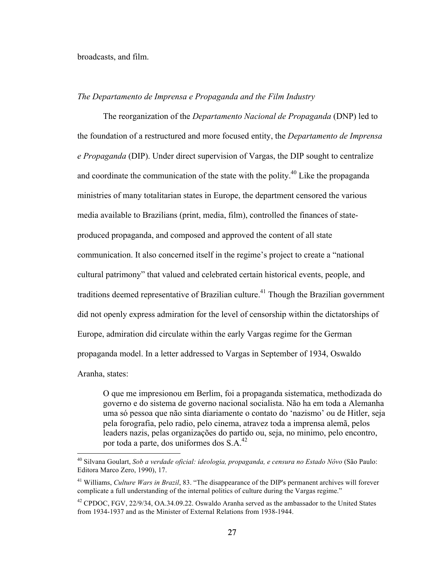#### broadcasts, and film.

## *The Departamento de Imprensa e Propaganda and the Film Industry*

The reorganization of the *Departamento Nacional de Propaganda* (DNP) led to the foundation of a restructured and more focused entity, the *Departamento de Imprensa e Propaganda* (DIP). Under direct supervision of Vargas, the DIP sought to centralize and coordinate the communication of the state with the polity.<sup>40</sup> Like the propaganda ministries of many totalitarian states in Europe, the department censored the various media available to Brazilians (print, media, film), controlled the finances of stateproduced propaganda, and composed and approved the content of all state communication. It also concerned itself in the regime's project to create a "national cultural patrimony" that valued and celebrated certain historical events, people, and traditions deemed representative of Brazilian culture.<sup>41</sup> Though the Brazilian government did not openly express admiration for the level of censorship within the dictatorships of Europe, admiration did circulate within the early Vargas regime for the German propaganda model. In a letter addressed to Vargas in September of 1934, Oswaldo Aranha, states:

O que me impresionou em Berlim, foi a propaganda sistematica, methodizada do governo e do sistema de governo nacional socialista. Não ha em toda a Alemanha uma só pessoa que não sinta diariamente o contato do 'nazismo' ou de Hitler, seja pela forografia, pelo radio, pelo cinema, atravez toda a imprensa alemã, pelos leaders nazis, pelas organizações do partido ou, seja, no minimo, pelo encontro, por toda a parte, dos uniformes dos  $S.A.<sup>42</sup>$ 

 <sup>40</sup> Silvana Goulart, *Sob a verdade oficial: ideologia, propaganda, e censura no Estado Nôvo* (São Paulo: Editora Marco Zero, 1990), 17.

<sup>41</sup> Williams, *Culture Wars in Brazil*, 83. "The disappearance of the DIP's permanent archives will forever complicate a full understanding of the internal politics of culture during the Vargas regime."

<sup>&</sup>lt;sup>42</sup> CPDOC, FGV, 22/9/34, OA.34.09.22. Oswaldo Aranha served as the ambassador to the United States from 1934-1937 and as the Minister of External Relations from 1938-1944.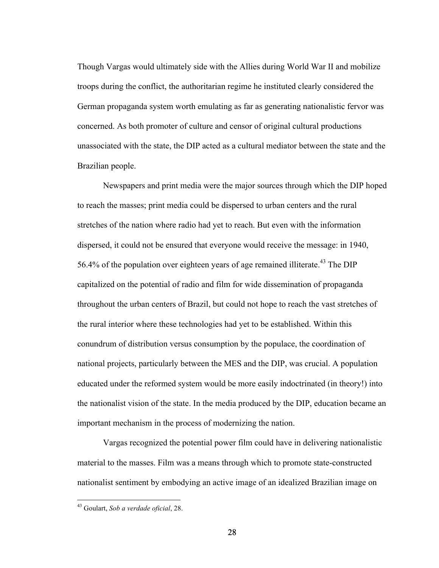Though Vargas would ultimately side with the Allies during World War II and mobilize troops during the conflict, the authoritarian regime he instituted clearly considered the German propaganda system worth emulating as far as generating nationalistic fervor was concerned. As both promoter of culture and censor of original cultural productions unassociated with the state, the DIP acted as a cultural mediator between the state and the Brazilian people.

Newspapers and print media were the major sources through which the DIP hoped to reach the masses; print media could be dispersed to urban centers and the rural stretches of the nation where radio had yet to reach. But even with the information dispersed, it could not be ensured that everyone would receive the message: in 1940, 56.4% of the population over eighteen years of age remained illiterate.<sup>43</sup> The DIP capitalized on the potential of radio and film for wide dissemination of propaganda throughout the urban centers of Brazil, but could not hope to reach the vast stretches of the rural interior where these technologies had yet to be established. Within this conundrum of distribution versus consumption by the populace, the coordination of national projects, particularly between the MES and the DIP, was crucial. A population educated under the reformed system would be more easily indoctrinated (in theory!) into the nationalist vision of the state. In the media produced by the DIP, education became an important mechanism in the process of modernizing the nation.

Vargas recognized the potential power film could have in delivering nationalistic material to the masses. Film was a means through which to promote state-constructed nationalist sentiment by embodying an active image of an idealized Brazilian image on

 <sup>43</sup> Goulart, *Sob a verdade oficial*, 28.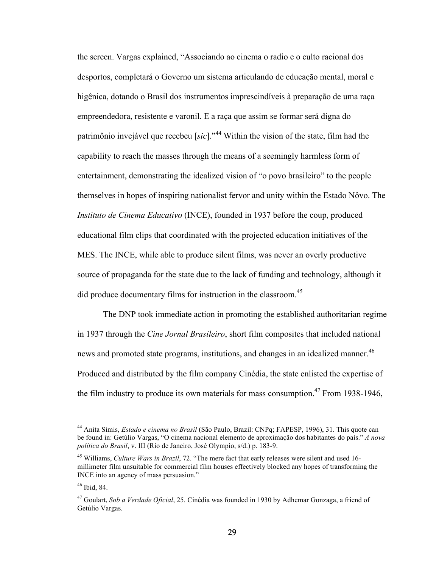the screen. Vargas explained, "Associando ao cinema o radio e o culto racional dos desportos, completará o Governo um sistema articulando de educação mental, moral e higênica, dotando o Brasil dos instrumentos imprescindíveis à preparação de uma raça empreendedora, resistente e varonil. E a raça que assim se formar será digna do patrimônio invejável que recebeu [*sic*]."<sup>44</sup> Within the vision of the state, film had the capability to reach the masses through the means of a seemingly harmless form of entertainment, demonstrating the idealized vision of "o povo brasileiro" to the people themselves in hopes of inspiring nationalist fervor and unity within the Estado Nôvo. The *Instituto de Cinema Educativo* (INCE), founded in 1937 before the coup, produced educational film clips that coordinated with the projected education initiatives of the MES. The INCE, while able to produce silent films, was never an overly productive source of propaganda for the state due to the lack of funding and technology, although it did produce documentary films for instruction in the classroom.<sup>45</sup>

The DNP took immediate action in promoting the established authoritarian regime in 1937 through the *Cine Jornal Brasileiro*, short film composites that included national news and promoted state programs, institutions, and changes in an idealized manner.<sup>46</sup> Produced and distributed by the film company Cinédia, the state enlisted the expertise of the film industry to produce its own materials for mass consumption.<sup>47</sup> From 1938-1946,

 <sup>44</sup> Anita Simis, *Estado e cinema no Brasil* (São Paulo, Brazil: CNPq; FAPESP, 1996), 31. This quote can be found in: Getúlio Vargas, "O cinema nacional elemento de aproximação dos habitantes do país." *A nova política do Brasil*, v. III (Rio de Janeiro, José Olympio, s/d.) p. 183-9.

<sup>45</sup> Williams, *Culture Wars in Brazil*, 72. "The mere fact that early releases were silent and used 16 millimeter film unsuitable for commercial film houses effectively blocked any hopes of transforming the INCE into an agency of mass persuasion."

 $46$  Ibid, 84.

<sup>47</sup> Goulart, *Sob a Verdade Oficial*, 25. Cinédia was founded in 1930 by Adhemar Gonzaga, a friend of Getúlio Vargas.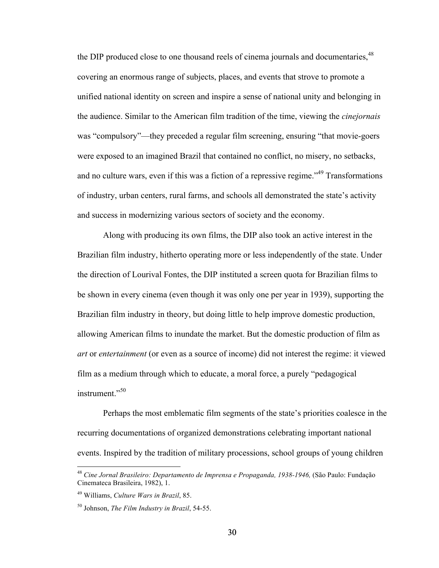the DIP produced close to one thousand reels of cinema journals and documentaries, <sup>48</sup> covering an enormous range of subjects, places, and events that strove to promote a unified national identity on screen and inspire a sense of national unity and belonging in the audience. Similar to the American film tradition of the time, viewing the *cinejornais* was "compulsory"—they preceded a regular film screening, ensuring "that movie-goers were exposed to an imagined Brazil that contained no conflict, no misery, no setbacks, and no culture wars, even if this was a fiction of a repressive regime.<sup>149</sup> Transformations of industry, urban centers, rural farms, and schools all demonstrated the state's activity and success in modernizing various sectors of society and the economy.

Along with producing its own films, the DIP also took an active interest in the Brazilian film industry, hitherto operating more or less independently of the state. Under the direction of Lourival Fontes, the DIP instituted a screen quota for Brazilian films to be shown in every cinema (even though it was only one per year in 1939), supporting the Brazilian film industry in theory, but doing little to help improve domestic production, allowing American films to inundate the market. But the domestic production of film as *art* or *entertainment* (or even as a source of income) did not interest the regime: it viewed film as a medium through which to educate, a moral force, a purely "pedagogical instrument."<sup>50</sup>

Perhaps the most emblematic film segments of the state's priorities coalesce in the recurring documentations of organized demonstrations celebrating important national events. Inspired by the tradition of military processions, school groups of young children

 <sup>48</sup> *Cine Jornal Brasileiro: Departamento de Imprensa e Propaganda, 1938-1946,* (São Paulo: Fundação Cinemateca Brasileira, 1982), 1.

<sup>49</sup> Williams, *Culture Wars in Brazil*, 85.

<sup>50</sup> Johnson, *The Film Industry in Brazil*, 54-55.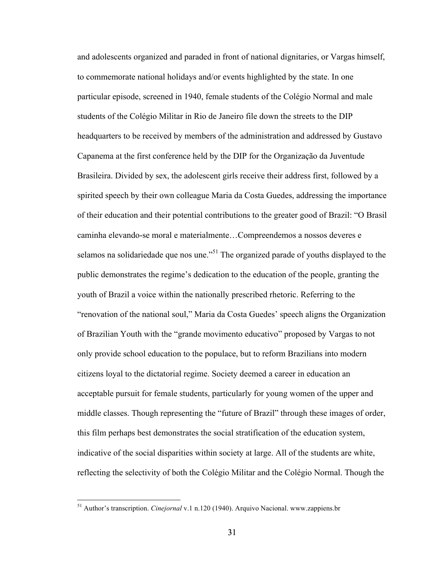and adolescents organized and paraded in front of national dignitaries, or Vargas himself, to commemorate national holidays and/or events highlighted by the state. In one particular episode, screened in 1940, female students of the Colégio Normal and male students of the Colégio Militar in Rio de Janeiro file down the streets to the DIP headquarters to be received by members of the administration and addressed by Gustavo Capanema at the first conference held by the DIP for the Organização da Juventude Brasileira. Divided by sex, the adolescent girls receive their address first, followed by a spirited speech by their own colleague Maria da Costa Guedes, addressing the importance of their education and their potential contributions to the greater good of Brazil: "O Brasil caminha elevando-se moral e materialmente…Compreendemos a nossos deveres e selamos na solidariedade que nos une."<sup>51</sup> The organized parade of youths displayed to the public demonstrates the regime's dedication to the education of the people, granting the youth of Brazil a voice within the nationally prescribed rhetoric. Referring to the "renovation of the national soul," Maria da Costa Guedes' speech aligns the Organization of Brazilian Youth with the "grande movimento educativo" proposed by Vargas to not only provide school education to the populace, but to reform Brazilians into modern citizens loyal to the dictatorial regime. Society deemed a career in education an acceptable pursuit for female students, particularly for young women of the upper and middle classes. Though representing the "future of Brazil" through these images of order, this film perhaps best demonstrates the social stratification of the education system, indicative of the social disparities within society at large. All of the students are white, reflecting the selectivity of both the Colégio Militar and the Colégio Normal. Though the

 <sup>51</sup> Author's transcription. *Cinejornal* v.1 n.120 (1940). Arquivo Nacional. www.zappiens.br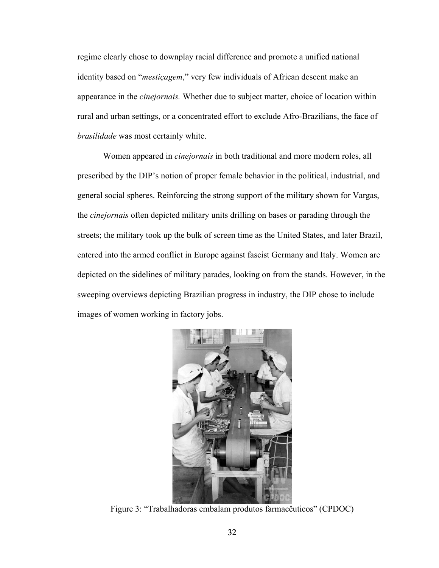regime clearly chose to downplay racial difference and promote a unified national identity based on "*mestiçagem*," very few individuals of African descent make an appearance in the *cinejornais.* Whether due to subject matter, choice of location within rural and urban settings, or a concentrated effort to exclude Afro-Brazilians, the face of *brasilidade* was most certainly white.

Women appeared in *cinejornais* in both traditional and more modern roles, all prescribed by the DIP's notion of proper female behavior in the political, industrial, and general social spheres. Reinforcing the strong support of the military shown for Vargas, the *cinejornais* often depicted military units drilling on bases or parading through the streets; the military took up the bulk of screen time as the United States, and later Brazil, entered into the armed conflict in Europe against fascist Germany and Italy. Women are depicted on the sidelines of military parades, looking on from the stands. However, in the sweeping overviews depicting Brazilian progress in industry, the DIP chose to include images of women working in factory jobs.



Figure 3: "Trabalhadoras embalam produtos farmacêuticos" (CPDOC)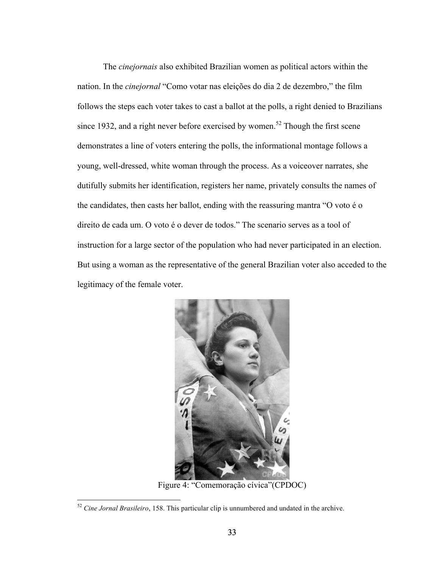The *cinejornais* also exhibited Brazilian women as political actors within the nation. In the *cinejornal* "Como votar nas eleições do dia 2 de dezembro," the film follows the steps each voter takes to cast a ballot at the polls, a right denied to Brazilians since 1932, and a right never before exercised by women.<sup>52</sup> Though the first scene demonstrates a line of voters entering the polls, the informational montage follows a young, well-dressed, white woman through the process. As a voiceover narrates, she dutifully submits her identification, registers her name, privately consults the names of the candidates, then casts her ballot, ending with the reassuring mantra "O voto é o direito de cada um. O voto é o dever de todos." The scenario serves as a tool of instruction for a large sector of the population who had never participated in an election. But using a woman as the representative of the general Brazilian voter also acceded to the legitimacy of the female voter.



Figure 4: "Comemoração cívica"(CPDOC)

 <sup>52</sup> *Cine Jornal Brasileiro*, 158. This particular clip is unnumbered and undated in the archive.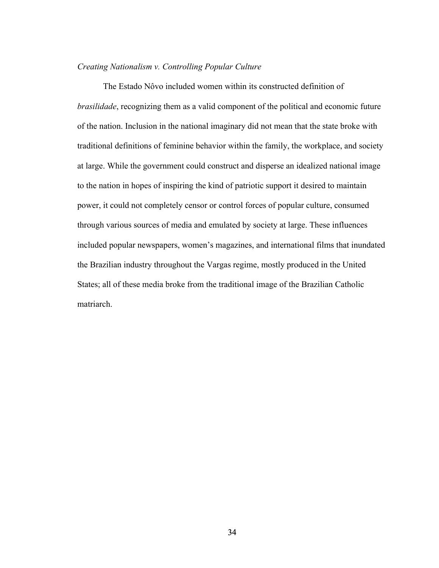## *Creating Nationalism v. Controlling Popular Culture*

The Estado Nôvo included women within its constructed definition of *brasilidade*, recognizing them as a valid component of the political and economic future of the nation. Inclusion in the national imaginary did not mean that the state broke with traditional definitions of feminine behavior within the family, the workplace, and society at large. While the government could construct and disperse an idealized national image to the nation in hopes of inspiring the kind of patriotic support it desired to maintain power, it could not completely censor or control forces of popular culture, consumed through various sources of media and emulated by society at large. These influences included popular newspapers, women's magazines, and international films that inundated the Brazilian industry throughout the Vargas regime, mostly produced in the United States; all of these media broke from the traditional image of the Brazilian Catholic matriarch.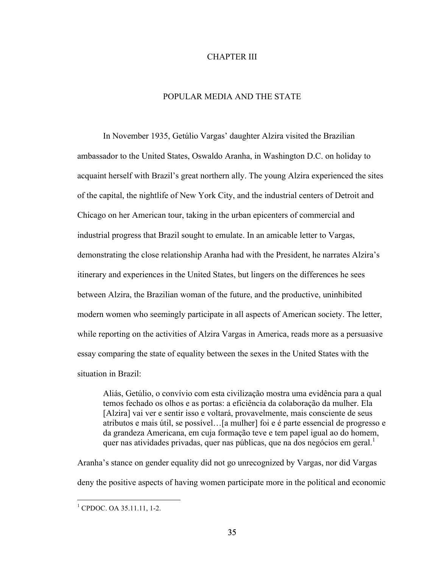### CHAPTER III

# POPULAR MEDIA AND THE STATE

In November 1935, Getúlio Vargas' daughter Alzira visited the Brazilian ambassador to the United States, Oswaldo Aranha, in Washington D.C. on holiday to acquaint herself with Brazil's great northern ally. The young Alzira experienced the sites of the capital, the nightlife of New York City, and the industrial centers of Detroit and Chicago on her American tour, taking in the urban epicenters of commercial and industrial progress that Brazil sought to emulate. In an amicable letter to Vargas, demonstrating the close relationship Aranha had with the President, he narrates Alzira's itinerary and experiences in the United States, but lingers on the differences he sees between Alzira, the Brazilian woman of the future, and the productive, uninhibited modern women who seemingly participate in all aspects of American society. The letter, while reporting on the activities of Alzira Vargas in America, reads more as a persuasive essay comparing the state of equality between the sexes in the United States with the situation in Brazil:

Aliás, Getúlio, o convívio com esta civilização mostra uma evidência para a qual temos fechado os olhos e as portas: a eficiência da colaboração da mulher. Ela [Alzira] vai ver e sentir isso e voltará, provavelmente, mais consciente de seus atributos e mais útil, se possível…[a mulher] foi e é parte essencial de progresso e da grandeza Americana, em cuja formação teve e tem papel igual ao do homem, quer nas atividades privadas, quer nas públicas, que na dos negócios em geral.<sup>1</sup>

Aranha's stance on gender equality did not go unrecognized by Vargas, nor did Vargas deny the positive aspects of having women participate more in the political and economic

 $1$  CPDOC. OA 35.11.11, 1-2.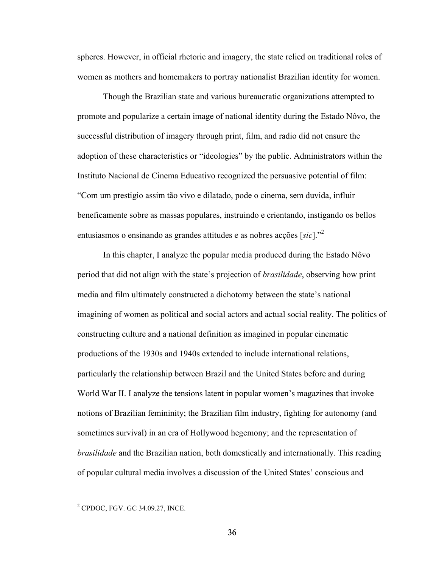spheres. However, in official rhetoric and imagery, the state relied on traditional roles of women as mothers and homemakers to portray nationalist Brazilian identity for women.

Though the Brazilian state and various bureaucratic organizations attempted to promote and popularize a certain image of national identity during the Estado Nôvo, the successful distribution of imagery through print, film, and radio did not ensure the adoption of these characteristics or "ideologies" by the public. Administrators within the Instituto Nacional de Cinema Educativo recognized the persuasive potential of film: "Com um prestigio assim tão vivo e dilatado, pode o cinema, sem duvida, influir beneficamente sobre as massas populares, instruindo e crientando, instigando os bellos entusiasmos o ensinando as grandes attitudes e as nobres acções [*sic*]." 2

In this chapter, I analyze the popular media produced during the Estado Nôvo period that did not align with the state's projection of *brasilidade*, observing how print media and film ultimately constructed a dichotomy between the state's national imagining of women as political and social actors and actual social reality. The politics of constructing culture and a national definition as imagined in popular cinematic productions of the 1930s and 1940s extended to include international relations, particularly the relationship between Brazil and the United States before and during World War II. I analyze the tensions latent in popular women's magazines that invoke notions of Brazilian femininity; the Brazilian film industry, fighting for autonomy (and sometimes survival) in an era of Hollywood hegemony; and the representation of *brasilidade* and the Brazilian nation, both domestically and internationally. This reading of popular cultural media involves a discussion of the United States' conscious and

 <sup>2</sup> CPDOC, FGV. GC 34.09.27, INCE.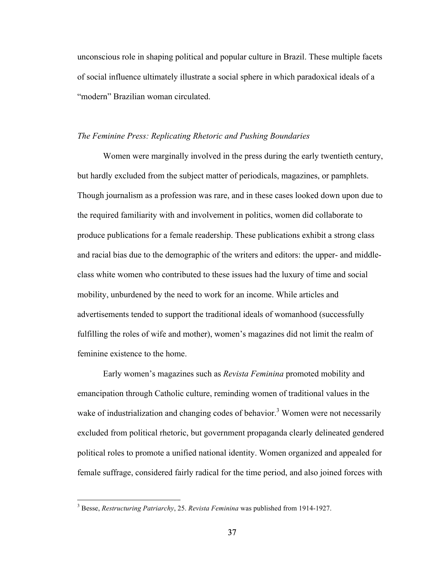unconscious role in shaping political and popular culture in Brazil. These multiple facets of social influence ultimately illustrate a social sphere in which paradoxical ideals of a "modern" Brazilian woman circulated.

#### *The Feminine Press: Replicating Rhetoric and Pushing Boundaries*

Women were marginally involved in the press during the early twentieth century, but hardly excluded from the subject matter of periodicals, magazines, or pamphlets. Though journalism as a profession was rare, and in these cases looked down upon due to the required familiarity with and involvement in politics, women did collaborate to produce publications for a female readership. These publications exhibit a strong class and racial bias due to the demographic of the writers and editors: the upper- and middleclass white women who contributed to these issues had the luxury of time and social mobility, unburdened by the need to work for an income. While articles and advertisements tended to support the traditional ideals of womanhood (successfully fulfilling the roles of wife and mother), women's magazines did not limit the realm of feminine existence to the home.

Early women's magazines such as *Revista Feminina* promoted mobility and emancipation through Catholic culture, reminding women of traditional values in the wake of industrialization and changing codes of behavior.<sup>3</sup> Women were not necessarily excluded from political rhetoric, but government propaganda clearly delineated gendered political roles to promote a unified national identity. Women organized and appealed for female suffrage, considered fairly radical for the time period, and also joined forces with

 <sup>3</sup> Besse, *Restructuring Patriarchy*, 25. *Revista Feminina* was published from 1914-1927.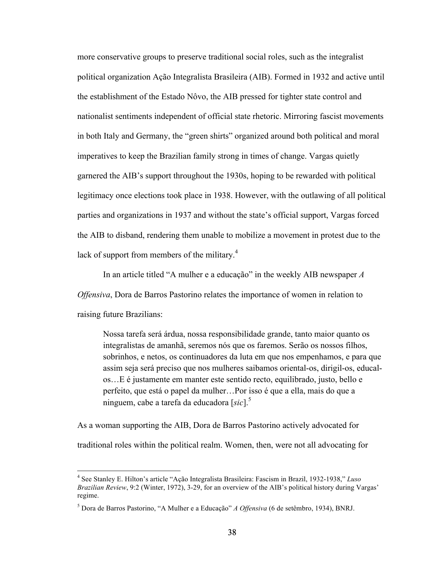more conservative groups to preserve traditional social roles, such as the integralist political organization Ação Integralista Brasileira (AIB). Formed in 1932 and active until the establishment of the Estado Nôvo, the AIB pressed for tighter state control and nationalist sentiments independent of official state rhetoric. Mirroring fascist movements in both Italy and Germany, the "green shirts" organized around both political and moral imperatives to keep the Brazilian family strong in times of change. Vargas quietly garnered the AIB's support throughout the 1930s, hoping to be rewarded with political legitimacy once elections took place in 1938. However, with the outlawing of all political parties and organizations in 1937 and without the state's official support, Vargas forced the AIB to disband, rendering them unable to mobilize a movement in protest due to the lack of support from members of the military.<sup>4</sup>

In an article titled "A mulher e a educação" in the weekly AIB newspaper *A Offensiva*, Dora de Barros Pastorino relates the importance of women in relation to raising future Brazilians:

Nossa tarefa será árdua, nossa responsibilidade grande, tanto maior quanto os integralistas de amanhã, seremos nós que os faremos. Serão os nossos filhos, sobrinhos, e netos, os continuadores da luta em que nos empenhamos, e para que assim seja será preciso que nos mulheres saibamos oriental-os, dirigil-os, educalos…E é justamente em manter este sentido recto, equilibrado, justo, bello e perfeito, que está o papel da mulher…Por isso é que a ella, mais do que a ninguem, cabe a tarefa da educadora [*sic*]. 5

As a woman supporting the AIB, Dora de Barros Pastorino actively advocated for traditional roles within the political realm. Women, then, were not all advocating for

 <sup>4</sup> See Stanley E. Hilton's article "Ação Integralista Brasileira: Fascism in Brazil, 1932-1938," *Luso Brazilian Review*, 9:2 (Winter, 1972), 3-29, for an overview of the AIB's political history during Vargas' regime.

<sup>5</sup> Dora de Barros Pastorino, "A Mulher e a Educação" *A Offensiva* (6 de setêmbro, 1934), BNRJ.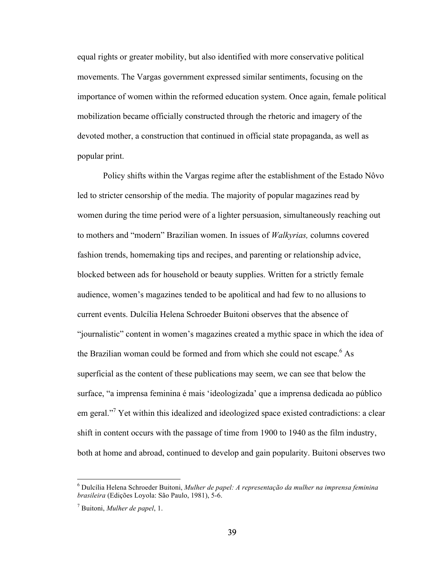equal rights or greater mobility, but also identified with more conservative political movements. The Vargas government expressed similar sentiments, focusing on the importance of women within the reformed education system. Once again, female political mobilization became officially constructed through the rhetoric and imagery of the devoted mother, a construction that continued in official state propaganda, as well as popular print.

Policy shifts within the Vargas regime after the establishment of the Estado Nôvo led to stricter censorship of the media. The majority of popular magazines read by women during the time period were of a lighter persuasion, simultaneously reaching out to mothers and "modern" Brazilian women. In issues of *Walkyrias,* columns covered fashion trends, homemaking tips and recipes, and parenting or relationship advice, blocked between ads for household or beauty supplies. Written for a strictly female audience, women's magazines tended to be apolitical and had few to no allusions to current events. Dulcília Helena Schroeder Buitoni observes that the absence of "journalistic" content in women's magazines created a mythic space in which the idea of the Brazilian woman could be formed and from which she could not escape.<sup>6</sup> As superficial as the content of these publications may seem, we can see that below the surface, "a imprensa feminina é mais 'ideologizada' que a imprensa dedicada ao público em geral."<sup>7</sup> Yet within this idealized and ideologized space existed contradictions: a clear shift in content occurs with the passage of time from 1900 to 1940 as the film industry, both at home and abroad, continued to develop and gain popularity. Buitoni observes two

 <sup>6</sup> Dulcília Helena Schroeder Buitoni, *Mulher de papel: A representação da mulher na imprensa feminina brasileira* (Edições Loyola: São Paulo, 1981), 5-6.

<sup>7</sup> Buitoni, *Mulher de papel*, 1.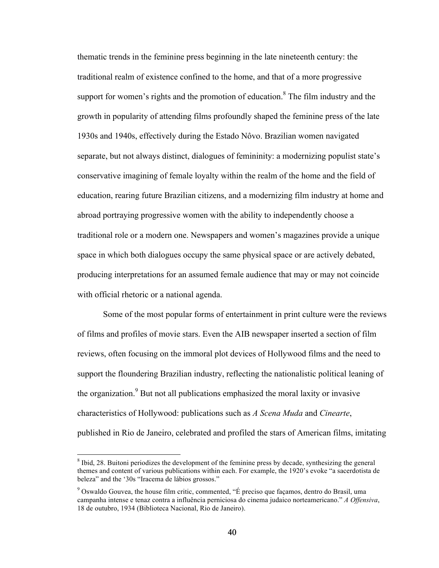thematic trends in the feminine press beginning in the late nineteenth century: the traditional realm of existence confined to the home, and that of a more progressive support for women's rights and the promotion of education.<sup>8</sup> The film industry and the growth in popularity of attending films profoundly shaped the feminine press of the late 1930s and 1940s, effectively during the Estado Nôvo. Brazilian women navigated separate, but not always distinct, dialogues of femininity: a modernizing populist state's conservative imagining of female loyalty within the realm of the home and the field of education, rearing future Brazilian citizens, and a modernizing film industry at home and abroad portraying progressive women with the ability to independently choose a traditional role or a modern one. Newspapers and women's magazines provide a unique space in which both dialogues occupy the same physical space or are actively debated, producing interpretations for an assumed female audience that may or may not coincide with official rhetoric or a national agenda.

Some of the most popular forms of entertainment in print culture were the reviews of films and profiles of movie stars. Even the AIB newspaper inserted a section of film reviews, often focusing on the immoral plot devices of Hollywood films and the need to support the floundering Brazilian industry, reflecting the nationalistic political leaning of the organization.<sup>9</sup> But not all publications emphasized the moral laxity or invasive characteristics of Hollywood: publications such as *A Scena Muda* and *Cinearte*, published in Rio de Janeiro, celebrated and profiled the stars of American films, imitating

<sup>&</sup>lt;sup>8</sup> Ibid, 28. Buitoni periodizes the development of the feminine press by decade, synthesizing the general themes and content of various publications within each. For example, the 1920's evoke "a sacerdotista de beleza" and the '30s "Iracema de lábios grossos."

 $9^9$  Oswaldo Gouvea, the house film critic, commented, "É preciso que facamos, dentro do Brasil, uma campanha intense e tenaz contra a influência perniciosa do cinema judaico norteamericano." *A Offensiva*, 18 de outubro, 1934 (Biblioteca Nacional, Rio de Janeiro).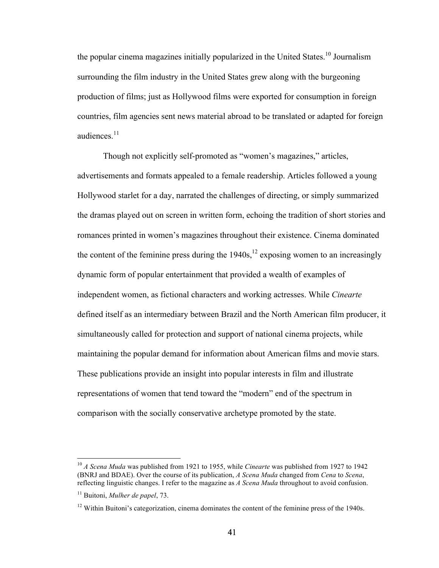the popular cinema magazines initially popularized in the United States.<sup>10</sup> Journalism surrounding the film industry in the United States grew along with the burgeoning production of films; just as Hollywood films were exported for consumption in foreign countries, film agencies sent news material abroad to be translated or adapted for foreign audiences $11$ 

Though not explicitly self-promoted as "women's magazines," articles, advertisements and formats appealed to a female readership. Articles followed a young Hollywood starlet for a day, narrated the challenges of directing, or simply summarized the dramas played out on screen in written form, echoing the tradition of short stories and romances printed in women's magazines throughout their existence. Cinema dominated the content of the feminine press during the  $1940s$ ,<sup>12</sup> exposing women to an increasingly dynamic form of popular entertainment that provided a wealth of examples of independent women, as fictional characters and working actresses. While *Cinearte* defined itself as an intermediary between Brazil and the North American film producer, it simultaneously called for protection and support of national cinema projects, while maintaining the popular demand for information about American films and movie stars. These publications provide an insight into popular interests in film and illustrate representations of women that tend toward the "modern" end of the spectrum in comparison with the socially conservative archetype promoted by the state.

 <sup>10</sup> *A Scena Muda* was published from 1921 to 1955, while *Cinearte* was published from 1927 to 1942 (BNRJ and BDAE). Over the course of its publication, *A Scena Muda* changed from *Cena* to *Scena*, reflecting linguistic changes. I refer to the magazine as *A Scena Muda* throughout to avoid confusion.

<sup>11</sup> Buitoni, *Mulher de papel*, 73.

 $12$  Within Buitoni's categorization, cinema dominates the content of the feminine press of the 1940s.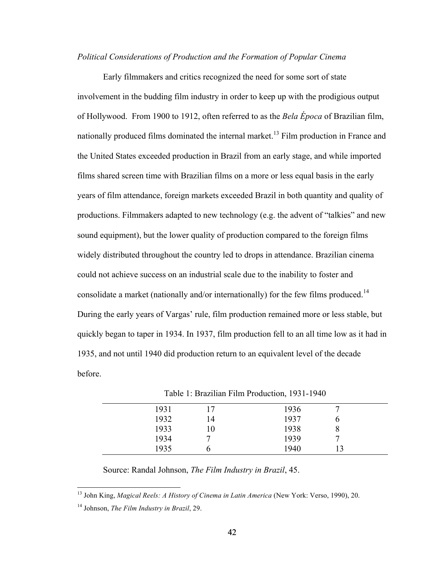### *Political Considerations of Production and the Formation of Popular Cinema*

Early filmmakers and critics recognized the need for some sort of state involvement in the budding film industry in order to keep up with the prodigious output of Hollywood. From 1900 to 1912, often referred to as the *Bela Época* of Brazilian film, nationally produced films dominated the internal market.<sup>13</sup> Film production in France and the United States exceeded production in Brazil from an early stage, and while imported films shared screen time with Brazilian films on a more or less equal basis in the early years of film attendance, foreign markets exceeded Brazil in both quantity and quality of productions. Filmmakers adapted to new technology (e.g. the advent of "talkies" and new sound equipment), but the lower quality of production compared to the foreign films widely distributed throughout the country led to drops in attendance. Brazilian cinema could not achieve success on an industrial scale due to the inability to foster and consolidate a market (nationally and/or internationally) for the few films produced.<sup>14</sup> During the early years of Vargas' rule, film production remained more or less stable, but quickly began to taper in 1934. In 1937, film production fell to an all time low as it had in 1935, and not until 1940 did production return to an equivalent level of the decade before.

| 1400 |    |      |  |  |
|------|----|------|--|--|
| 1931 |    | 1936 |  |  |
| 1932 | 14 | 1937 |  |  |
| 1933 |    | 1938 |  |  |
| 1934 |    | 1939 |  |  |
| 1935 |    | 1940 |  |  |

Table 1: Brazilian Film Production, 1931-1940

Source: Randal Johnson, *The Film Industry in Brazil*, 45.

 <sup>13</sup> John King, *Magical Reels: A History of Cinema in Latin America* (New York: Verso, 1990), 20.

<sup>14</sup> Johnson, *The Film Industry in Brazil*, 29.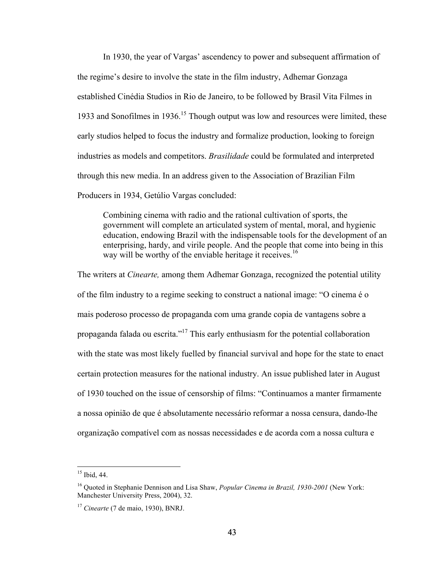In 1930, the year of Vargas' ascendency to power and subsequent affirmation of the regime's desire to involve the state in the film industry, Adhemar Gonzaga established Cinédia Studios in Rio de Janeiro, to be followed by Brasil Vita Filmes in 1933 and Sonofilmes in 1936.<sup>15</sup> Though output was low and resources were limited, these early studios helped to focus the industry and formalize production, looking to foreign industries as models and competitors. *Brasilidade* could be formulated and interpreted through this new media. In an address given to the Association of Brazilian Film Producers in 1934, Getúlio Vargas concluded:

Combining cinema with radio and the rational cultivation of sports, the government will complete an articulated system of mental, moral, and hygienic education, endowing Brazil with the indispensable tools for the development of an enterprising, hardy, and virile people. And the people that come into being in this way will be worthy of the enviable heritage it receives.<sup>16</sup>

The writers at *Cinearte,* among them Adhemar Gonzaga, recognized the potential utility of the film industry to a regime seeking to construct a national image: "O cinema é o mais poderoso processo de propaganda com uma grande copia de vantagens sobre a propaganda falada ou escrita."<sup>17</sup> This early enthusiasm for the potential collaboration with the state was most likely fuelled by financial survival and hope for the state to enact certain protection measures for the national industry. An issue published later in August of 1930 touched on the issue of censorship of films: "Continuamos a manter firmamente a nossa opinião de que é absolutamente necessário reformar a nossa censura, dando-lhe organização compatível com as nossas necessidades e de acorda com a nossa cultura e

 $15$  Ibid, 44.

<sup>16</sup> Quoted in Stephanie Dennison and Lisa Shaw, *Popular Cinema in Brazil, 1930-2001* (New York: Manchester University Press, 2004), 32.

<sup>17</sup> *Cinearte* (7 de maio, 1930), BNRJ.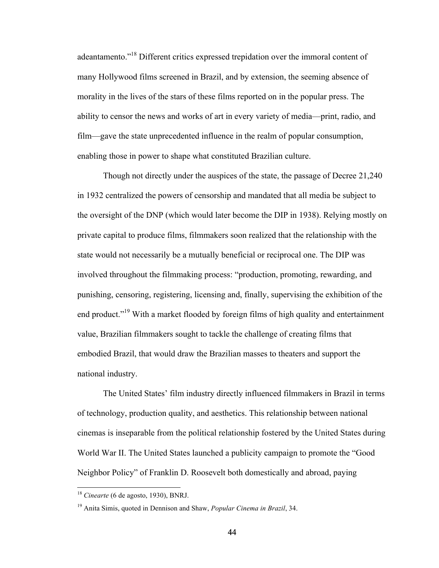adeantamento."18 Different critics expressed trepidation over the immoral content of many Hollywood films screened in Brazil, and by extension, the seeming absence of morality in the lives of the stars of these films reported on in the popular press. The ability to censor the news and works of art in every variety of media—print, radio, and film—gave the state unprecedented influence in the realm of popular consumption, enabling those in power to shape what constituted Brazilian culture.

Though not directly under the auspices of the state, the passage of Decree 21,240 in 1932 centralized the powers of censorship and mandated that all media be subject to the oversight of the DNP (which would later become the DIP in 1938). Relying mostly on private capital to produce films, filmmakers soon realized that the relationship with the state would not necessarily be a mutually beneficial or reciprocal one. The DIP was involved throughout the filmmaking process: "production, promoting, rewarding, and punishing, censoring, registering, licensing and, finally, supervising the exhibition of the end product."<sup>19</sup> With a market flooded by foreign films of high quality and entertainment value, Brazilian filmmakers sought to tackle the challenge of creating films that embodied Brazil, that would draw the Brazilian masses to theaters and support the national industry.

The United States' film industry directly influenced filmmakers in Brazil in terms of technology, production quality, and aesthetics. This relationship between national cinemas is inseparable from the political relationship fostered by the United States during World War II. The United States launched a publicity campaign to promote the "Good Neighbor Policy" of Franklin D. Roosevelt both domestically and abroad, paying

 <sup>18</sup> *Cinearte* (6 de agosto, 1930), BNRJ.

<sup>19</sup> Anita Simis, quoted in Dennison and Shaw, *Popular Cinema in Brazil*, 34.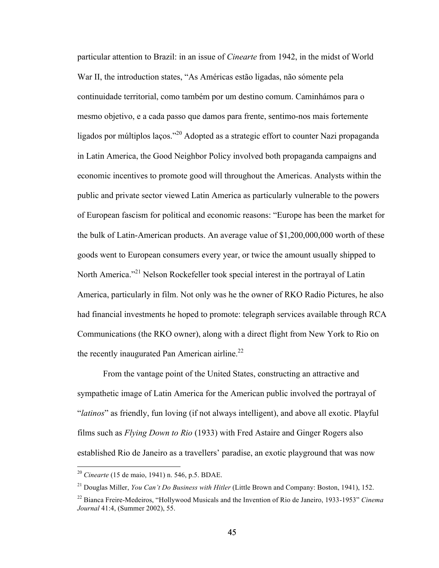particular attention to Brazil: in an issue of *Cinearte* from 1942, in the midst of World War II, the introduction states, "As Américas estão ligadas, não sómente pela continuidade territorial, como também por um destino comum. Caminhámos para o mesmo objetivo, e a cada passo que damos para frente, sentimo-nos mais fortemente ligados por múltiplos laços."<sup>20</sup> Adopted as a strategic effort to counter Nazi propaganda in Latin America, the Good Neighbor Policy involved both propaganda campaigns and economic incentives to promote good will throughout the Americas. Analysts within the public and private sector viewed Latin America as particularly vulnerable to the powers of European fascism for political and economic reasons: "Europe has been the market for the bulk of Latin-American products. An average value of \$1,200,000,000 worth of these goods went to European consumers every year, or twice the amount usually shipped to North America."<sup>21</sup> Nelson Rockefeller took special interest in the portrayal of Latin America, particularly in film. Not only was he the owner of RKO Radio Pictures, he also had financial investments he hoped to promote: telegraph services available through RCA Communications (the RKO owner), along with a direct flight from New York to Rio on the recently inaugurated Pan American airline.<sup>22</sup>

From the vantage point of the United States, constructing an attractive and sympathetic image of Latin America for the American public involved the portrayal of "*latinos*" as friendly, fun loving (if not always intelligent), and above all exotic. Playful films such as *Flying Down to Rio* (1933) with Fred Astaire and Ginger Rogers also established Rio de Janeiro as a travellers' paradise, an exotic playground that was now

 <sup>20</sup> *Cinearte* (15 de maio, 1941) n. 546, p.5. BDAE.

<sup>21</sup> Douglas Miller, *You Can't Do Business with Hitler* (Little Brown and Company: Boston, 1941), 152.

<sup>22</sup> Bianca Freire-Medeiros, "Hollywood Musicals and the Invention of Rio de Janeiro, 1933-1953" *Cinema Journal* 41:4, (Summer 2002), 55.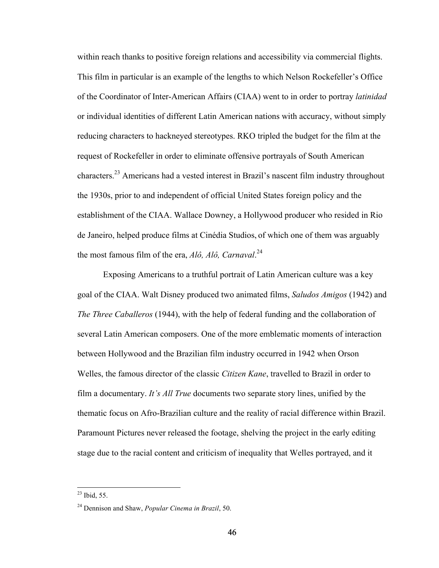within reach thanks to positive foreign relations and accessibility via commercial flights. This film in particular is an example of the lengths to which Nelson Rockefeller's Office of the Coordinator of Inter-American Affairs (CIAA) went to in order to portray *latinidad*  or individual identities of different Latin American nations with accuracy, without simply reducing characters to hackneyed stereotypes. RKO tripled the budget for the film at the request of Rockefeller in order to eliminate offensive portrayals of South American characters.23 Americans had a vested interest in Brazil's nascent film industry throughout the 1930s, prior to and independent of official United States foreign policy and the establishment of the CIAA. Wallace Downey, a Hollywood producer who resided in Rio de Janeiro, helped produce films at Cinédia Studios, of which one of them was arguably the most famous film of the era, *Alô, Alô, Carnaval*. 24

Exposing Americans to a truthful portrait of Latin American culture was a key goal of the CIAA. Walt Disney produced two animated films, *Saludos Amigos* (1942) and *The Three Caballeros* (1944), with the help of federal funding and the collaboration of several Latin American composers. One of the more emblematic moments of interaction between Hollywood and the Brazilian film industry occurred in 1942 when Orson Welles, the famous director of the classic *Citizen Kane*, travelled to Brazil in order to film a documentary. *It's All True* documents two separate story lines, unified by the thematic focus on Afro-Brazilian culture and the reality of racial difference within Brazil. Paramount Pictures never released the footage, shelving the project in the early editing stage due to the racial content and criticism of inequality that Welles portrayed, and it

 $^{23}$  Ibid, 55.

<sup>24</sup> Dennison and Shaw, *Popular Cinema in Brazil*, 50.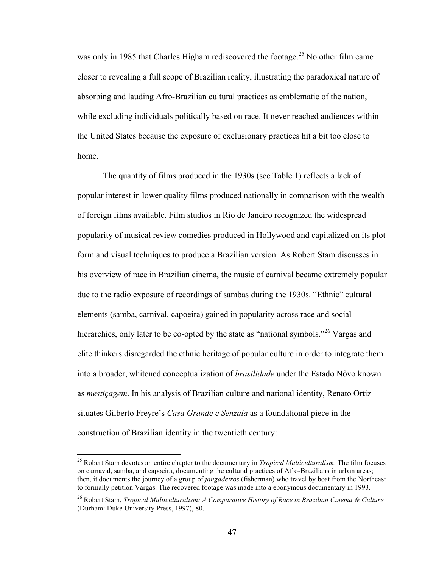was only in 1985 that Charles Higham rediscovered the footage.<sup>25</sup> No other film came closer to revealing a full scope of Brazilian reality, illustrating the paradoxical nature of absorbing and lauding Afro-Brazilian cultural practices as emblematic of the nation, while excluding individuals politically based on race. It never reached audiences within the United States because the exposure of exclusionary practices hit a bit too close to home.

The quantity of films produced in the 1930s (see Table 1) reflects a lack of popular interest in lower quality films produced nationally in comparison with the wealth of foreign films available. Film studios in Rio de Janeiro recognized the widespread popularity of musical review comedies produced in Hollywood and capitalized on its plot form and visual techniques to produce a Brazilian version. As Robert Stam discusses in his overview of race in Brazilian cinema, the music of carnival became extremely popular due to the radio exposure of recordings of sambas during the 1930s. "Ethnic" cultural elements (samba, carnival, capoeira) gained in popularity across race and social hierarchies, only later to be co-opted by the state as "national symbols."<sup>26</sup> Vargas and elite thinkers disregarded the ethnic heritage of popular culture in order to integrate them into a broader, whitened conceptualization of *brasilidade* under the Estado Nôvo known as *mestiçagem*. In his analysis of Brazilian culture and national identity, Renato Ortiz situates Gilberto Freyre's *Casa Grande e Senzala* as a foundational piece in the construction of Brazilian identity in the twentieth century:

 <sup>25</sup> Robert Stam devotes an entire chapter to the documentary in *Tropical Multiculturalism*. The film focuses on carnaval, samba, and capoeira, documenting the cultural practices of Afro-Brazilians in urban areas; then, it documents the journey of a group of *jangadeiros* (fisherman) who travel by boat from the Northeast to formally petition Vargas. The recovered footage was made into a eponymous documentary in 1993.

<sup>26</sup> Robert Stam, *Tropical Multiculturalism: A Comparative History of Race in Brazilian Cinema & Culture* (Durham: Duke University Press, 1997), 80.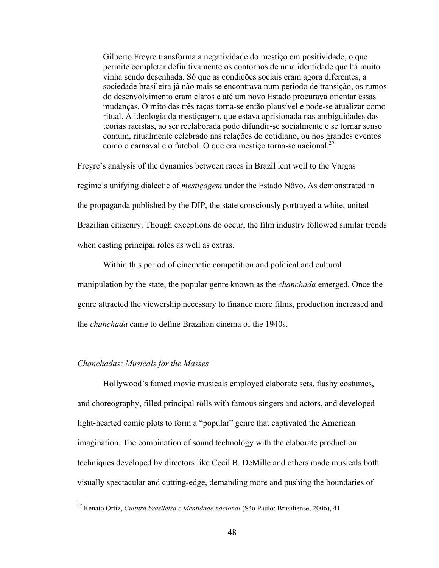Gilberto Freyre transforma a negatividade do mestiço em positividade, o que permite completar definitivamente os contornos de uma identidade que há muito vinha sendo desenhada. Só que as condições sociais eram agora diferentes, a sociedade brasileira já não mais se encontrava num período de transição, os rumos do desenvolvimento eram claros e até um novo Estado procurava orientar essas mudanças. O mito das três raças torna-se então plausível e pode-se atualizar como ritual. A ideologia da mestiçagem, que estava aprisionada nas ambiguidades das teorias racistas, ao ser reelaborada pode difundir-se socialmente e se tornar senso comum, ritualmente celebrado nas relações do cotidiano, ou nos grandes eventos como o carnaval e o futebol. O que era mestico torna-se nacional. $^{27}$ 

Freyre's analysis of the dynamics between races in Brazil lent well to the Vargas regime's unifying dialectic of *mestiçagem* under the Estado Nôvo. As demonstrated in the propaganda published by the DIP, the state consciously portrayed a white, united Brazilian citizenry. Though exceptions do occur, the film industry followed similar trends when casting principal roles as well as extras.

Within this period of cinematic competition and political and cultural manipulation by the state, the popular genre known as the *chanchada* emerged. Once the genre attracted the viewership necessary to finance more films, production increased and the *chanchada* came to define Brazilian cinema of the 1940s.

### *Chanchadas: Musicals for the Masses*

Hollywood's famed movie musicals employed elaborate sets, flashy costumes, and choreography, filled principal rolls with famous singers and actors, and developed light-hearted comic plots to form a "popular" genre that captivated the American imagination. The combination of sound technology with the elaborate production techniques developed by directors like Cecil B. DeMille and others made musicals both visually spectacular and cutting-edge, demanding more and pushing the boundaries of

 <sup>27</sup> Renato Ortiz, *Cultura brasileira e identidade nacional* (São Paulo: Brasiliense, 2006), 41.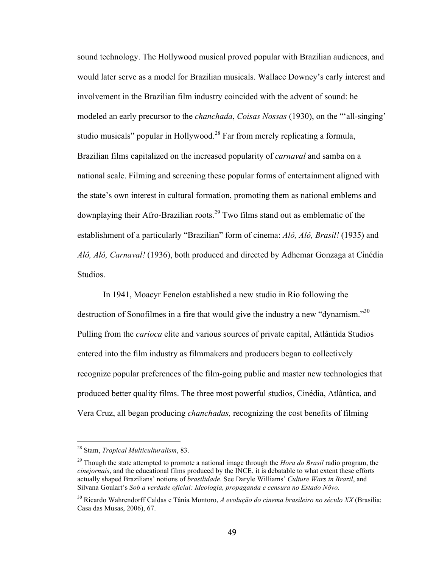sound technology. The Hollywood musical proved popular with Brazilian audiences, and would later serve as a model for Brazilian musicals. Wallace Downey's early interest and involvement in the Brazilian film industry coincided with the advent of sound: he modeled an early precursor to the *chanchada*, *Coisas Nossas* (1930), on the "'all-singing' studio musicals" popular in Hollywood.<sup>28</sup> Far from merely replicating a formula, Brazilian films capitalized on the increased popularity of *carnaval* and samba on a national scale. Filming and screening these popular forms of entertainment aligned with the state's own interest in cultural formation, promoting them as national emblems and downplaying their Afro-Brazilian roots.<sup>29</sup> Two films stand out as emblematic of the establishment of a particularly "Brazilian" form of cinema: *Alô, Alô, Brasil!* (1935) and *Alô, Alô, Carnaval!* (1936), both produced and directed by Adhemar Gonzaga at Cinédia Studios.

In 1941, Moacyr Fenelon established a new studio in Rio following the destruction of Sonofilmes in a fire that would give the industry a new "dynamism."<sup>30</sup> Pulling from the *carioca* elite and various sources of private capital, Atlântida Studios entered into the film industry as filmmakers and producers began to collectively recognize popular preferences of the film-going public and master new technologies that produced better quality films. The three most powerful studios, Cinédia, Atlântica, and Vera Cruz, all began producing *chanchadas,* recognizing the cost benefits of filming

 <sup>28</sup> Stam, *Tropical Multiculturalism*, 83.

<sup>29</sup> Though the state attempted to promote a national image through the *Hora do Brasil* radio program, the *cinejornais*, and the educational films produced by the INCE, it is debatable to what extent these efforts actually shaped Brazilians' notions of *brasilidade*. See Daryle Williams' *Culture Wars in Brazil*, and Silvana Goulart's *Sob a verdade oficial: Ideologia, propaganda e censura no Estado Nôvo.*

<sup>30</sup> Ricardo Wahrendorff Caldas e Tânia Montoro, *A evolução do cinema brasileiro no século XX* (Brasília: Casa das Musas, 2006), 67.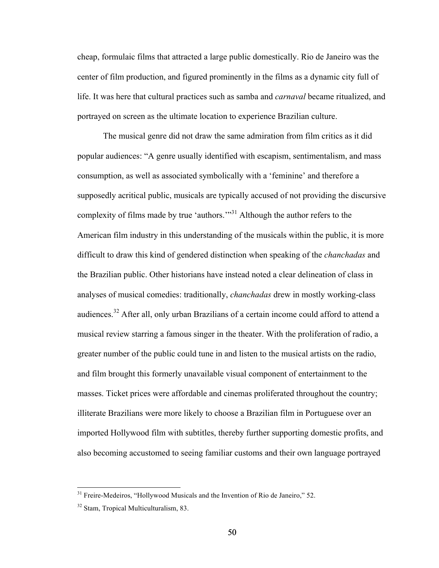cheap, formulaic films that attracted a large public domestically. Rio de Janeiro was the center of film production, and figured prominently in the films as a dynamic city full of life. It was here that cultural practices such as samba and *carnaval* became ritualized, and portrayed on screen as the ultimate location to experience Brazilian culture.

The musical genre did not draw the same admiration from film critics as it did popular audiences: "A genre usually identified with escapism, sentimentalism, and mass consumption, as well as associated symbolically with a 'feminine' and therefore a supposedly acritical public, musicals are typically accused of not providing the discursive complexity of films made by true 'authors.'"<sup>31</sup> Although the author refers to the American film industry in this understanding of the musicals within the public, it is more difficult to draw this kind of gendered distinction when speaking of the *chanchadas* and the Brazilian public. Other historians have instead noted a clear delineation of class in analyses of musical comedies: traditionally, *chanchadas* drew in mostly working-class audiences.<sup>32</sup> After all, only urban Brazilians of a certain income could afford to attend a musical review starring a famous singer in the theater. With the proliferation of radio, a greater number of the public could tune in and listen to the musical artists on the radio, and film brought this formerly unavailable visual component of entertainment to the masses. Ticket prices were affordable and cinemas proliferated throughout the country; illiterate Brazilians were more likely to choose a Brazilian film in Portuguese over an imported Hollywood film with subtitles, thereby further supporting domestic profits, and also becoming accustomed to seeing familiar customs and their own language portrayed

<sup>&</sup>lt;sup>31</sup> Freire-Medeiros, "Hollywood Musicals and the Invention of Rio de Janeiro," 52.

<sup>&</sup>lt;sup>32</sup> Stam, Tropical Multiculturalism, 83.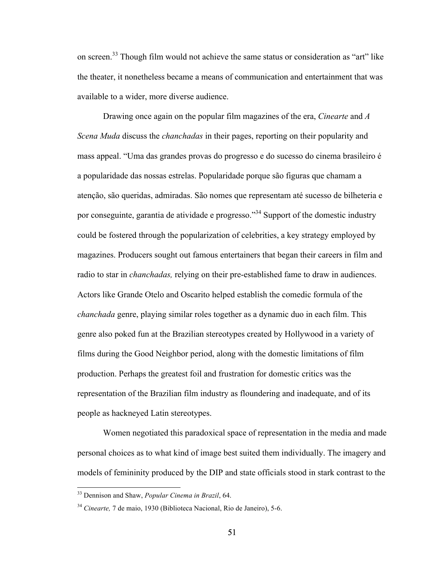on screen.<sup>33</sup> Though film would not achieve the same status or consideration as "art" like the theater, it nonetheless became a means of communication and entertainment that was available to a wider, more diverse audience.

Drawing once again on the popular film magazines of the era, *Cinearte* and *A Scena Muda* discuss the *chanchadas* in their pages, reporting on their popularity and mass appeal. "Uma das grandes provas do progresso e do sucesso do cinema brasileiro é a popularidade das nossas estrelas. Popularidade porque são figuras que chamam a atenção, são queridas, admiradas. São nomes que representam até sucesso de bilheteria e por conseguinte, garantia de atividade e progresso."<sup>34</sup> Support of the domestic industry could be fostered through the popularization of celebrities, a key strategy employed by magazines. Producers sought out famous entertainers that began their careers in film and radio to star in *chanchadas,* relying on their pre-established fame to draw in audiences. Actors like Grande Otelo and Oscarito helped establish the comedic formula of the *chanchada* genre, playing similar roles together as a dynamic duo in each film. This genre also poked fun at the Brazilian stereotypes created by Hollywood in a variety of films during the Good Neighbor period, along with the domestic limitations of film production. Perhaps the greatest foil and frustration for domestic critics was the representation of the Brazilian film industry as floundering and inadequate, and of its people as hackneyed Latin stereotypes.

Women negotiated this paradoxical space of representation in the media and made personal choices as to what kind of image best suited them individually. The imagery and models of femininity produced by the DIP and state officials stood in stark contrast to the

 <sup>33</sup> Dennison and Shaw, *Popular Cinema in Brazil*, 64.

<sup>34</sup> *Cinearte,* 7 de maio, 1930 (Biblioteca Nacional, Rio de Janeiro), 5-6.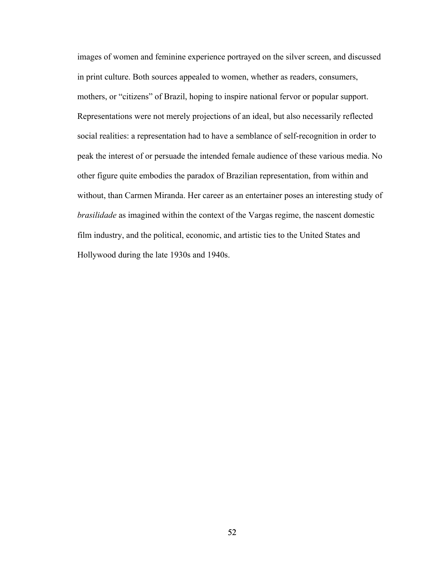images of women and feminine experience portrayed on the silver screen, and discussed in print culture. Both sources appealed to women, whether as readers, consumers, mothers, or "citizens" of Brazil, hoping to inspire national fervor or popular support. Representations were not merely projections of an ideal, but also necessarily reflected social realities: a representation had to have a semblance of self-recognition in order to peak the interest of or persuade the intended female audience of these various media. No other figure quite embodies the paradox of Brazilian representation, from within and without, than Carmen Miranda. Her career as an entertainer poses an interesting study of *brasilidade* as imagined within the context of the Vargas regime, the nascent domestic film industry, and the political, economic, and artistic ties to the United States and Hollywood during the late 1930s and 1940s.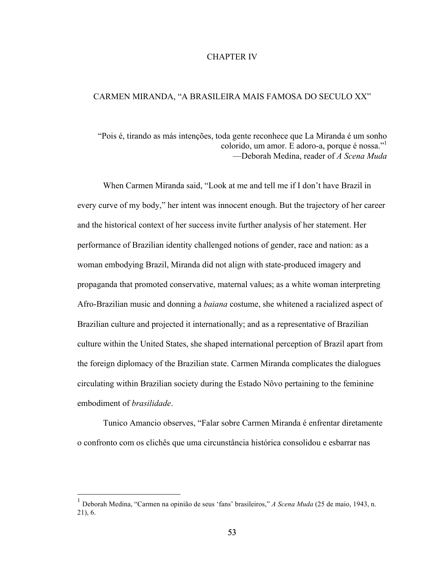### CHAPTER IV

#### CARMEN MIRANDA, "A BRASILEIRA MAIS FAMOSA DO SECULO XX"

"Pois é, tirando as más intenções, toda gente reconhece que La Miranda é um sonho colorido, um amor. E adoro-a, porque é nossa."1 —Deborah Medina, reader of *A Scena Muda*

When Carmen Miranda said, "Look at me and tell me if I don't have Brazil in every curve of my body," her intent was innocent enough. But the trajectory of her career and the historical context of her success invite further analysis of her statement. Her performance of Brazilian identity challenged notions of gender, race and nation: as a woman embodying Brazil, Miranda did not align with state-produced imagery and propaganda that promoted conservative, maternal values; as a white woman interpreting Afro-Brazilian music and donning a *baiana* costume, she whitened a racialized aspect of Brazilian culture and projected it internationally; and as a representative of Brazilian culture within the United States, she shaped international perception of Brazil apart from the foreign diplomacy of the Brazilian state. Carmen Miranda complicates the dialogues circulating within Brazilian society during the Estado Nôvo pertaining to the feminine embodiment of *brasilidade*.

Tunico Amancio observes, "Falar sobre Carmen Miranda é enfrentar diretamente o confronto com os clichês que uma circunstância histórica consolidou e esbarrar nas

 <sup>1</sup> Deborah Medina, "Carmen na opinião de seus 'fans' brasileiros," *A Scena Muda* (25 de maio, 1943, n. 21), 6.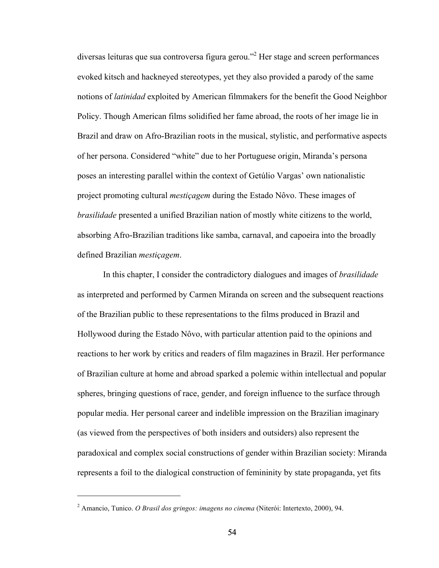diversas leituras que sua controversa figura gerou."<sup>2</sup> Her stage and screen performances evoked kitsch and hackneyed stereotypes, yet they also provided a parody of the same notions of *latinidad* exploited by American filmmakers for the benefit the Good Neighbor Policy. Though American films solidified her fame abroad, the roots of her image lie in Brazil and draw on Afro-Brazilian roots in the musical, stylistic, and performative aspects of her persona. Considered "white" due to her Portuguese origin, Miranda's persona poses an interesting parallel within the context of Getúlio Vargas' own nationalistic project promoting cultural *mestiçagem* during the Estado Nôvo. These images of *brasilidade* presented a unified Brazilian nation of mostly white citizens to the world, absorbing Afro-Brazilian traditions like samba, carnaval, and capoeira into the broadly defined Brazilian *mestiçagem*.

In this chapter, I consider the contradictory dialogues and images of *brasilidade* as interpreted and performed by Carmen Miranda on screen and the subsequent reactions of the Brazilian public to these representations to the films produced in Brazil and Hollywood during the Estado Nôvo, with particular attention paid to the opinions and reactions to her work by critics and readers of film magazines in Brazil. Her performance of Brazilian culture at home and abroad sparked a polemic within intellectual and popular spheres, bringing questions of race, gender, and foreign influence to the surface through popular media. Her personal career and indelible impression on the Brazilian imaginary (as viewed from the perspectives of both insiders and outsiders) also represent the paradoxical and complex social constructions of gender within Brazilian society: Miranda represents a foil to the dialogical construction of femininity by state propaganda, yet fits

 $\overline{a}$ 

<sup>2</sup> Amancio, Tunico. *O Brasil dos gringos: imagens no cinema* (Niterói: Intertexto, 2000), 94.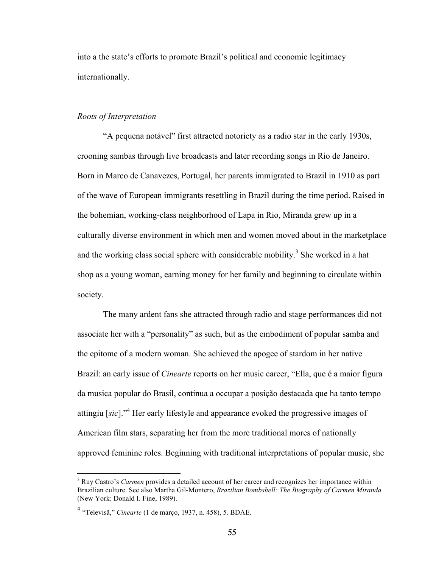into a the state's efforts to promote Brazil's political and economic legitimacy internationally.

# *Roots of Interpretation*

"A pequena notável" first attracted notoriety as a radio star in the early 1930s, crooning sambas through live broadcasts and later recording songs in Rio de Janeiro. Born in Marco de Canavezes, Portugal, her parents immigrated to Brazil in 1910 as part of the wave of European immigrants resettling in Brazil during the time period. Raised in the bohemian, working-class neighborhood of Lapa in Rio, Miranda grew up in a culturally diverse environment in which men and women moved about in the marketplace and the working class social sphere with considerable mobility.<sup>3</sup> She worked in a hat shop as a young woman, earning money for her family and beginning to circulate within society.

The many ardent fans she attracted through radio and stage performances did not associate her with a "personality" as such, but as the embodiment of popular samba and the epitome of a modern woman. She achieved the apogee of stardom in her native Brazil: an early issue of *Cinearte* reports on her music career, "Ella, que é a maior figura da musica popular do Brasil, continua a occupar a posição destacada que ha tanto tempo attingiu [*sic*]."<sup>4</sup> Her early lifestyle and appearance evoked the progressive images of American film stars, separating her from the more traditional mores of nationally approved feminine roles. Beginning with traditional interpretations of popular music, she

<sup>&</sup>lt;sup>3</sup> Ruy Castro's *Carmen* provides a detailed account of her career and recognizes her importance within Brazilian culture. See also Martha Gil-Montero, *Brazilian Bombshell: The Biography of Carmen Miranda* (New York: Donald I. Fine, 1989).

<sup>4</sup> "Televisã," *Cinearte* (1 de março, 1937, n. 458), 5. BDAE.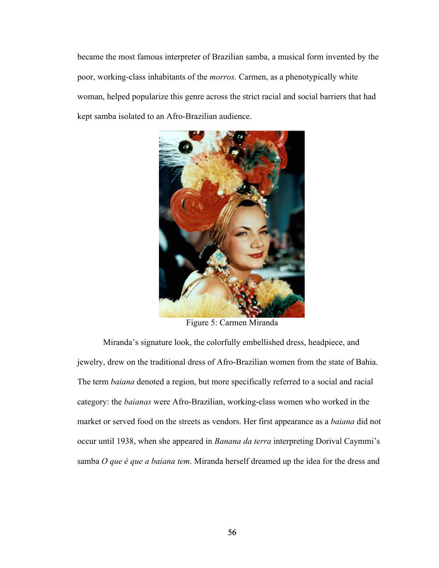became the most famous interpreter of Brazilian samba, a musical form invented by the poor, working-class inhabitants of the *morros.* Carmen, as a phenotypically white woman, helped popularize this genre across the strict racial and social barriers that had kept samba isolated to an Afro-Brazilian audience.



Figure 5: Carmen Miranda

Miranda's signature look, the colorfully embellished dress, headpiece, and jewelry, drew on the traditional dress of Afro-Brazilian women from the state of Bahia. The term *baiana* denoted a region, but more specifically referred to a social and racial category: the *baianas* were Afro-Brazilian, working-class women who worked in the market or served food on the streets as vendors. Her first appearance as a *baiana* did not occur until 1938, when she appeared in *Banana da terra* interpreting Dorival Caymmi's samba *O que é que a baiana tem*. Miranda herself dreamed up the idea for the dress and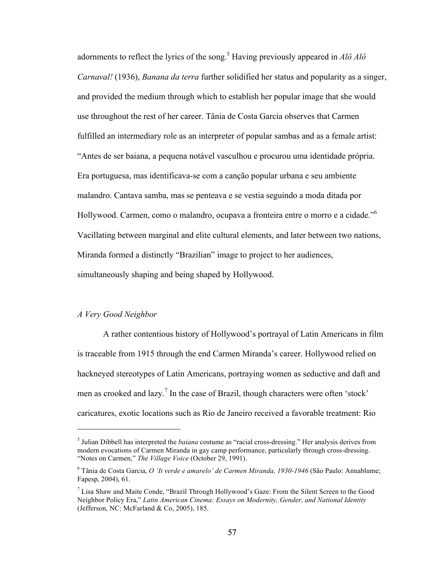adornments to reflect the lyrics of the song.<sup>5</sup> Having previously appeared in  $A l \hat{\sigma} A l \hat{\sigma}$ *Carnaval!* (1936), *Banana da terra* further solidified her status and popularity as a singer, and provided the medium through which to establish her popular image that she would use throughout the rest of her career. Tânia de Costa Garcia observes that Carmen fulfilled an intermediary role as an interpreter of popular sambas and as a female artist: "Antes de ser baiana, a pequena notável vasculhou e procurou uma identidade própria. Era portuguesa, mas identificava-se com a canção popular urbana e seu ambiente malandro. Cantava samba, mas se penteava e se vestia seguindo a moda ditada por Hollywood. Carmen, como o malandro, ocupava a fronteira entre o morro e a cidade." 6 Vacillating between marginal and elite cultural elements, and later between two nations, Miranda formed a distinctly "Brazilian" image to project to her audiences, simultaneously shaping and being shaped by Hollywood.

# *A Very Good Neighbor*

 $\overline{a}$ 

A rather contentious history of Hollywood's portrayal of Latin Americans in film is traceable from 1915 through the end Carmen Miranda's career. Hollywood relied on hackneyed stereotypes of Latin Americans, portraying women as seductive and daft and men as crooked and  $\text{lazy.}^7$  In the case of Brazil, though characters were often 'stock' caricatures, exotic locations such as Rio de Janeiro received a favorable treatment: Rio

<sup>5</sup> Julian Dibbell has interpreted the *baiana* costume as "racial cross-dressing." Her analysis derives from modern evocations of Carmen Miranda in gay camp performance, particularly through cross-dressing. "Notes on Carmen," *The Village Voice* (October 29, 1991).

<sup>6</sup> Tânia de Costa Garcia, *O 'It verde e amarelo' de Carmen Miranda, 1930-1946* (São Paulo: Annablume; Fapesp, 2004), 61.

 $<sup>7</sup>$  Lisa Shaw and Maite Conde, "Brazil Through Hollywood's Gaze: From the Silent Screen to the Good</sup> Neighbor Policy Era," *Latin American Cinema: Essays on Modernity, Gender, and National Identity*  (Jefferson, NC: McFarland & Co, 2005), 185.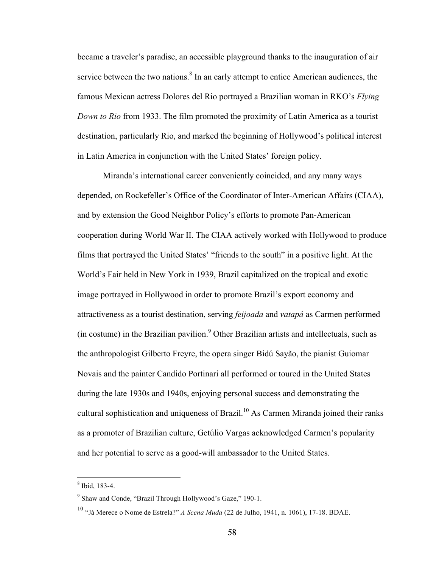became a traveler's paradise, an accessible playground thanks to the inauguration of air service between the two nations.<sup>8</sup> In an early attempt to entice American audiences, the famous Mexican actress Dolores del Rio portrayed a Brazilian woman in RKO's *Flying Down to Rio* from 1933. The film promoted the proximity of Latin America as a tourist destination, particularly Rio, and marked the beginning of Hollywood's political interest in Latin America in conjunction with the United States' foreign policy.

Miranda's international career conveniently coincided, and any many ways depended, on Rockefeller's Office of the Coordinator of Inter-American Affairs (CIAA), and by extension the Good Neighbor Policy's efforts to promote Pan-American cooperation during World War II. The CIAA actively worked with Hollywood to produce films that portrayed the United States' "friends to the south" in a positive light. At the World's Fair held in New York in 1939, Brazil capitalized on the tropical and exotic image portrayed in Hollywood in order to promote Brazil's export economy and attractiveness as a tourist destination, serving *feijoada* and *vatapá* as Carmen performed  $(in costume)$  in the Brazilian pavilion.<sup>9</sup> Other Brazilian artists and intellectuals, such as the anthropologist Gilberto Freyre, the opera singer Bidú Sayão, the pianist Guiomar Novais and the painter Candido Portinari all performed or toured in the United States during the late 1930s and 1940s, enjoying personal success and demonstrating the cultural sophistication and uniqueness of Brazil.<sup>10</sup> As Carmen Miranda joined their ranks as a promoter of Brazilian culture, Getúlio Vargas acknowledged Carmen's popularity and her potential to serve as a good-will ambassador to the United States.

 <sup>8</sup> Ibid, 183-4.

 $9$  Shaw and Conde, "Brazil Through Hollywood's Gaze," 190-1.

<sup>10</sup> "Já Merece o Nome de Estrela?" *A Scena Muda* (22 de Julho, 1941, n. 1061), 17-18. BDAE.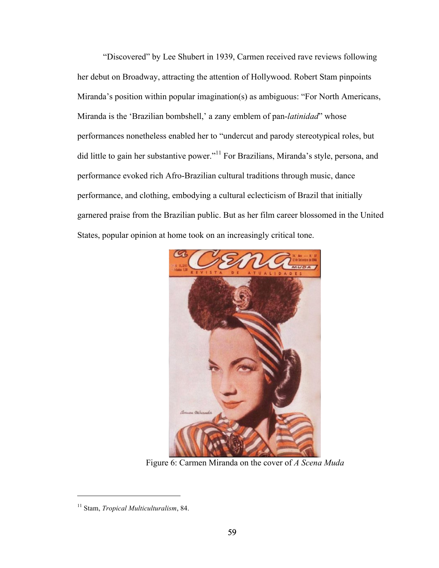"Discovered" by Lee Shubert in 1939, Carmen received rave reviews following her debut on Broadway, attracting the attention of Hollywood. Robert Stam pinpoints Miranda's position within popular imagination(s) as ambiguous: "For North Americans, Miranda is the 'Brazilian bombshell,' a zany emblem of pan-*latinidad*" whose performances nonetheless enabled her to "undercut and parody stereotypical roles, but did little to gain her substantive power."<sup>11</sup> For Brazilians, Miranda's style, persona, and performance evoked rich Afro-Brazilian cultural traditions through music, dance performance, and clothing, embodying a cultural eclecticism of Brazil that initially garnered praise from the Brazilian public. But as her film career blossomed in the United States, popular opinion at home took on an increasingly critical tone.



Figure 6: Carmen Miranda on the cover of *A Scena Muda*

 $\overline{a}$ 

<sup>11</sup> Stam, *Tropical Multiculturalism*, 84.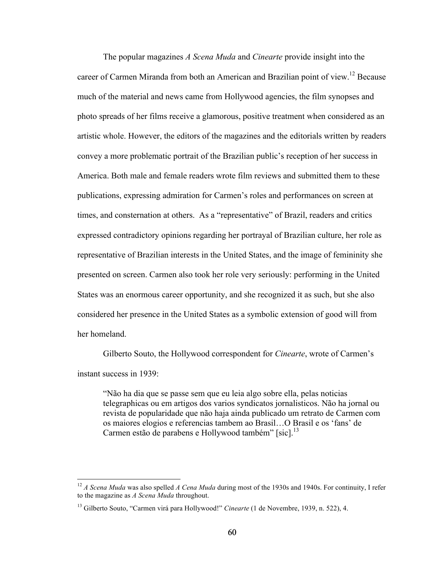The popular magazines *A Scena Muda* and *Cinearte* provide insight into the career of Carmen Miranda from both an American and Brazilian point of view.<sup>12</sup> Because much of the material and news came from Hollywood agencies, the film synopses and photo spreads of her films receive a glamorous, positive treatment when considered as an artistic whole. However, the editors of the magazines and the editorials written by readers convey a more problematic portrait of the Brazilian public's reception of her success in America. Both male and female readers wrote film reviews and submitted them to these publications, expressing admiration for Carmen's roles and performances on screen at times, and consternation at others. As a "representative" of Brazil, readers and critics expressed contradictory opinions regarding her portrayal of Brazilian culture, her role as representative of Brazilian interests in the United States, and the image of femininity she presented on screen. Carmen also took her role very seriously: performing in the United States was an enormous career opportunity, and she recognized it as such, but she also considered her presence in the United States as a symbolic extension of good will from her homeland.

Gilberto Souto, the Hollywood correspondent for *Cinearte*, wrote of Carmen's instant success in 1939:

"Não ha dia que se passe sem que eu leia algo sobre ella, pelas noticias telegraphicas ou em artigos dos varios syndicatos jornalisticos. Não ha jornal ou revista de popularidade que não haja ainda publicado um retrato de Carmen com os maiores elogios e referencias tambem ao Brasil…O Brasil e os 'fans' de Carmen estão de parabens e Hollywood também" [sic].<sup>13</sup>

 <sup>12</sup> *A Scena Muda* was also spelled *A Cena Muda* during most of the 1930s and 1940s. For continuity, I refer to the magazine as *A Scena Muda* throughout.

<sup>&</sup>lt;sup>13</sup> Gilberto Souto, "Carmen virá para Hollywood!" *Cinearte* (1 de Novembre, 1939, n. 522), 4.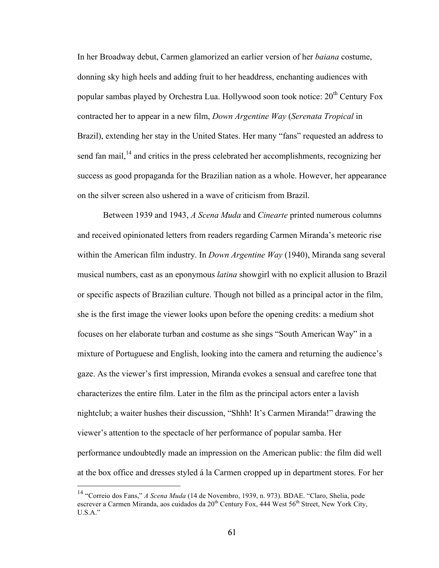In her Broadway debut, Carmen glamorized an earlier version of her *baiana* costume, donning sky high heels and adding fruit to her headdress, enchanting audiences with popular sambas played by Orchestra Lua. Hollywood soon took notice:  $20<sup>th</sup>$  Century Fox contracted her to appear in a new film, *Down Argentine Way* (*Serenata Tropical* in Brazil), extending her stay in the United States. Her many "fans" requested an address to send fan mail, $^{14}$  and critics in the press celebrated her accomplishments, recognizing her success as good propaganda for the Brazilian nation as a whole. However, her appearance on the silver screen also ushered in a wave of criticism from Brazil.

Between 1939 and 1943, *A Scena Muda* and *Cinearte* printed numerous columns and received opinionated letters from readers regarding Carmen Miranda's meteoric rise within the American film industry. In *Down Argentine Way* (1940), Miranda sang several musical numbers, cast as an eponymous *latina* showgirl with no explicit allusion to Brazil or specific aspects of Brazilian culture. Though not billed as a principal actor in the film, she is the first image the viewer looks upon before the opening credits: a medium shot focuses on her elaborate turban and costume as she sings "South American Way" in a mixture of Portuguese and English, looking into the camera and returning the audience's gaze. As the viewer's first impression, Miranda evokes a sensual and carefree tone that characterizes the entire film. Later in the film as the principal actors enter a lavish nightclub; a waiter hushes their discussion, "Shhh! It's Carmen Miranda!" drawing the viewer's attention to the spectacle of her performance of popular samba. Her performance undoubtedly made an impression on the American public: the film did well at the box office and dresses styled á la Carmen cropped up in department stores. For her

 <sup>14</sup> "Correio dos Fans," *A Scena Muda* (14 de Novembro, 1939, n. 973). BDAE. "Claro, Shelia, pode escrever a Carmen Miranda, aos cuidados da 20th Century Fox, 444 West 56th Street, New York City, U.S.A."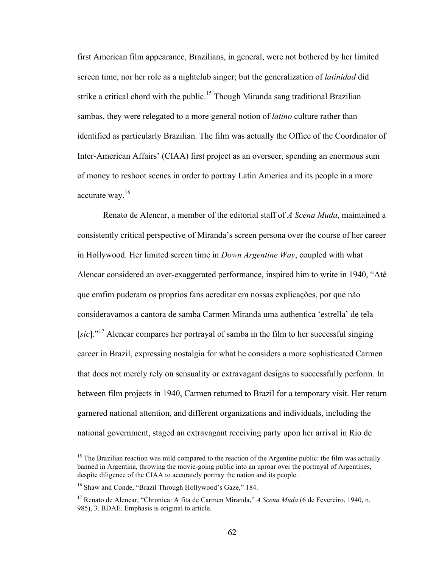first American film appearance, Brazilians, in general, were not bothered by her limited screen time, nor her role as a nightclub singer; but the generalization of *latinidad* did strike a critical chord with the public.<sup>15</sup> Though Miranda sang traditional Brazilian sambas, they were relegated to a more general notion of *latino* culture rather than identified as particularly Brazilian. The film was actually the Office of the Coordinator of Inter-American Affairs' (CIAA) first project as an overseer, spending an enormous sum of money to reshoot scenes in order to portray Latin America and its people in a more accurate way.<sup>16</sup>

Renato de Alencar, a member of the editorial staff of *A Scena Muda*, maintained a consistently critical perspective of Miranda's screen persona over the course of her career in Hollywood. Her limited screen time in *Down Argentine Way*, coupled with what Alencar considered an over-exaggerated performance, inspired him to write in 1940, "Até que emfim puderam os proprios fans acreditar em nossas explicações, por que não consideravamos a cantora de samba Carmen Miranda uma authentica 'estrella' de tela [*sic*]."<sup>17</sup> Alencar compares her portrayal of samba in the film to her successful singing career in Brazil, expressing nostalgia for what he considers a more sophisticated Carmen that does not merely rely on sensuality or extravagant designs to successfully perform. In between film projects in 1940, Carmen returned to Brazil for a temporary visit. Her return garnered national attention, and different organizations and individuals, including the national government, staged an extravagant receiving party upon her arrival in Rio de

 $\overline{a}$ 

<sup>&</sup>lt;sup>15</sup> The Brazilian reaction was mild compared to the reaction of the Argentine public: the film was actually banned in Argentina, throwing the movie-going public into an uproar over the portrayal of Argentines, despite diligence of the CIAA to accurately portray the nation and its people.

<sup>&</sup>lt;sup>16</sup> Shaw and Conde, "Brazil Through Hollywood's Gaze," 184.

<sup>17</sup> Renato de Alencar, "Chronica: A fita de Carmen Miranda," *A Scena Muda* (6 de Fevereiro, 1940, n. 985), 3. BDAE. Emphasis is original to article.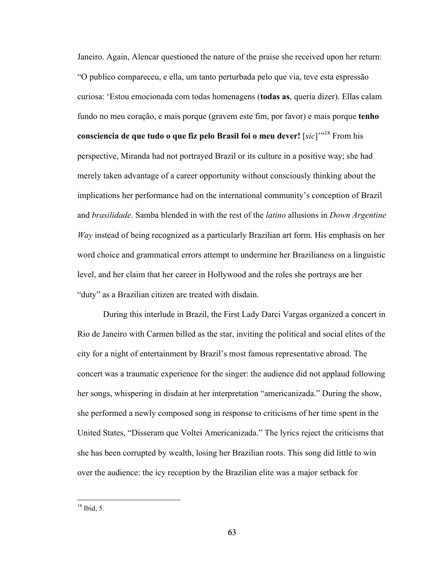Janeiro. Again, Alencar questioned the nature of the praise she received upon her return: "O publico compareceu, e ella, um tanto perturbada pelo que via, teve esta espressão curiosa: 'Estou emocionada com todas homenagens (**todas as**, queria dizer). Ellas calam fundo no meu coração, e mais porque (gravem este fim, por favor) e mais porque **tenho consciencia de que tudo o que fiz pelo Brasil foi o meu dever!** [*sic*]'" <sup>18</sup> From his perspective, Miranda had not portrayed Brazil or its culture in a positive way; she had merely taken advantage of a career opportunity without consciously thinking about the implications her performance had on the international community's conception of Brazil and *brasilidade*. Samba blended in with the rest of the *latino* allusions in *Down Argentine Way* instead of being recognized as a particularly Brazilian art form. His emphasis on her word choice and grammatical errors attempt to undermine her Brazilianess on a linguistic level, and her claim that her career in Hollywood and the roles she portrays are her "duty" as a Brazilian citizen are treated with disdain.

During this interlude in Brazil, the First Lady Darci Vargas organized a concert in Rio de Janeiro with Carmen billed as the star, inviting the political and social elites of the city for a night of entertainment by Brazil's most famous representative abroad. The concert was a traumatic experience for the singer: the audience did not applaud following her songs, whispering in disdain at her interpretation "americanizada." During the show, she performed a newly composed song in response to criticisms of her time spent in the United States, "Disseram que Voltei Americanizada." The lyrics reject the criticisms that she has been corrupted by wealth, losing her Brazilian roots. This song did little to win over the audience: the icy reception by the Brazilian elite was a major setback for

 $18$  Ibid 5.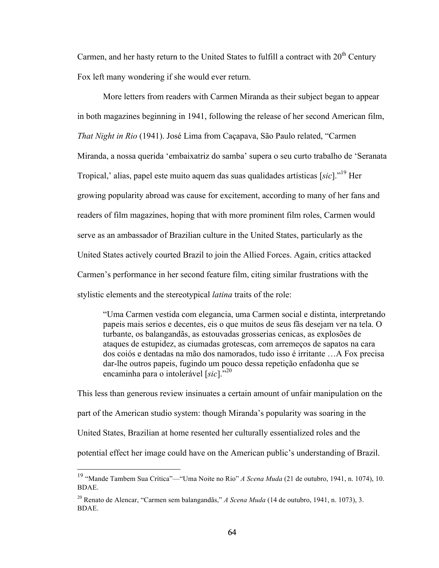Carmen, and her hasty return to the United States to fulfill a contract with  $20<sup>th</sup>$  Century Fox left many wondering if she would ever return.

More letters from readers with Carmen Miranda as their subject began to appear in both magazines beginning in 1941, following the release of her second American film, *That Night in Rio* (1941). José Lima from Caçapava, São Paulo related, "Carmen Miranda, a nossa querida 'embaixatriz do samba' supera o seu curto trabalho de 'Seranata Tropical,' alias, papel este muito aquem das suas qualidades artísticas [*sic*]." <sup>19</sup> Her growing popularity abroad was cause for excitement, according to many of her fans and readers of film magazines, hoping that with more prominent film roles, Carmen would serve as an ambassador of Brazilian culture in the United States, particularly as the United States actively courted Brazil to join the Allied Forces. Again, critics attacked Carmen's performance in her second feature film, citing similar frustrations with the stylistic elements and the stereotypical *latina* traits of the role:

"Uma Carmen vestida com elegancia, uma Carmen social e distinta, interpretando papeis mais serios e decentes, eis o que muitos de seus fãs desejam ver na tela. O turbante, os balangandãs, as estouvadas grosserias cenicas, as explosões de ataques de estupidez, as ciumadas grotescas, com arremeços de sapatos na cara dos coiós e dentadas na mão dos namorados, tudo isso é irritante …A Fox precisa dar-lhe outros papeis, fugindo um pouco dessa repetição enfadonha que se encaminha para o intolerável [sic]."<sup>20</sup>

This less than generous review insinuates a certain amount of unfair manipulation on the part of the American studio system: though Miranda's popularity was soaring in the United States, Brazilian at home resented her culturally essentialized roles and the potential effect her image could have on the American public's understanding of Brazil.

 <sup>19</sup> "Mande Tambem Sua Crítica"—"Uma Noite no Rio" *A Scena Muda* (21 de outubro, 1941, n. 1074), 10. BDAE.

<sup>20</sup> Renato de Alencar, "Carmen sem balangandãs," *A Scena Muda* (14 de outubro, 1941, n. 1073), 3. BDAE.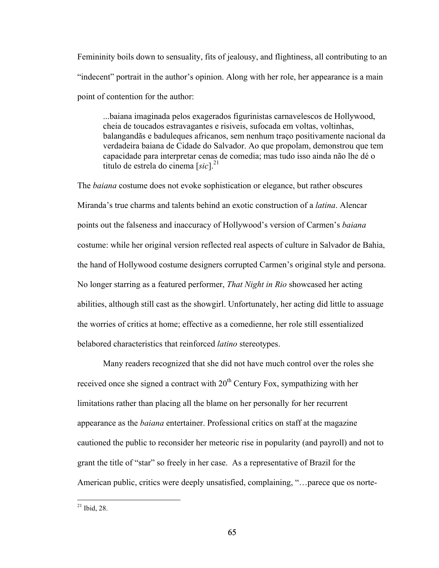Femininity boils down to sensuality, fits of jealousy, and flightiness, all contributing to an "indecent" portrait in the author's opinion. Along with her role, her appearance is a main point of contention for the author:

...baiana imaginada pelos exagerados figurinistas carnavelescos de Hollywood, cheia de toucados estravagantes e risiveis, sufocada em voltas, voltinhas, balangandãs e baduleques africanos, sem nenhum traço positivamente nacional da verdadeira baiana de Cidade do Salvador. Ao que propolam, demonstrou que tem capacidade para interpretar cenas de comedia; mas tudo isso ainda não lhe dé o titulo de estrela do cinema [*sic*]. 21

The *baiana* costume does not evoke sophistication or elegance, but rather obscures Miranda's true charms and talents behind an exotic construction of a *latina*. Alencar points out the falseness and inaccuracy of Hollywood's version of Carmen's *baiana* costume: while her original version reflected real aspects of culture in Salvador de Bahia, the hand of Hollywood costume designers corrupted Carmen's original style and persona. No longer starring as a featured performer, *That Night in Rio* showcased her acting abilities, although still cast as the showgirl. Unfortunately, her acting did little to assuage the worries of critics at home; effective as a comedienne, her role still essentialized belabored characteristics that reinforced *latino* stereotypes.

Many readers recognized that she did not have much control over the roles she received once she signed a contract with  $20<sup>th</sup>$  Century Fox, sympathizing with her limitations rather than placing all the blame on her personally for her recurrent appearance as the *baiana* entertainer. Professional critics on staff at the magazine cautioned the public to reconsider her meteoric rise in popularity (and payroll) and not to grant the title of "star" so freely in her case. As a representative of Brazil for the American public, critics were deeply unsatisfied, complaining, "…parece que os norte-

 $21$  Ibid, 28.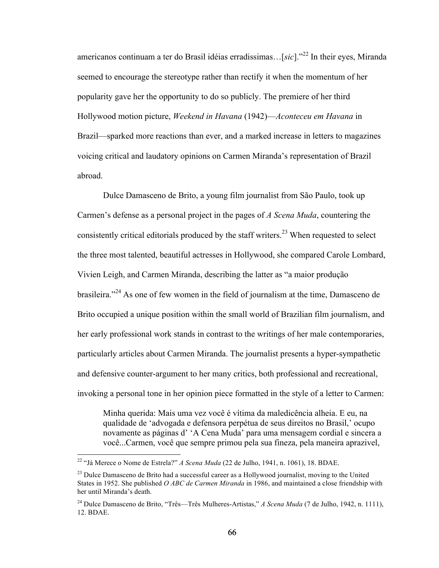americanos continuam a ter do Brasil idéias erradissimas…[*sic*]." <sup>22</sup> In their eyes, Miranda seemed to encourage the stereotype rather than rectify it when the momentum of her popularity gave her the opportunity to do so publicly. The premiere of her third Hollywood motion picture, *Weekend in Havana* (1942)—*Aconteceu em Havana* in Brazil—sparked more reactions than ever, and a marked increase in letters to magazines voicing critical and laudatory opinions on Carmen Miranda's representation of Brazil abroad.

Dulce Damasceno de Brito, a young film journalist from São Paulo, took up Carmen's defense as a personal project in the pages of *A Scena Muda*, countering the consistently critical editorials produced by the staff writers.<sup>23</sup> When requested to select the three most talented, beautiful actresses in Hollywood, she compared Carole Lombard, Vivien Leigh, and Carmen Miranda, describing the latter as "a maior produção brasileira."<sup>24</sup> As one of few women in the field of journalism at the time, Damasceno de Brito occupied a unique position within the small world of Brazilian film journalism, and her early professional work stands in contrast to the writings of her male contemporaries, particularly articles about Carmen Miranda. The journalist presents a hyper-sympathetic and defensive counter-argument to her many critics, both professional and recreational, invoking a personal tone in her opinion piece formatted in the style of a letter to Carmen:

Minha querida: Mais uma vez você é vítima da maledicência alheia. E eu, na qualidade de 'advogada e defensora perpétua de seus direitos no Brasil,' ocupo novamente as páginas d' 'A Cena Muda' para uma mensagem cordial e sincera a você...Carmen, você que sempre primou pela sua fineza, pela maneira aprazivel,

 <sup>22</sup> "Já Merece o Nome de Estrela?" *A Scena Muda* (22 de Julho, 1941, n. 1061), 18. BDAE.

<sup>&</sup>lt;sup>23</sup> Dulce Damasceno de Brito had a successful career as a Hollywood journalist, moving to the United States in 1952. She published *O ABC de Carmen Miranda* in 1986, and maintained a close friendship with her until Miranda's death.

<sup>24</sup> Dulce Damasceno de Brito, "Três—Três Mulheres-Artistas," *A Scena Muda* (7 de Julho, 1942, n. 1111), 12. BDAE.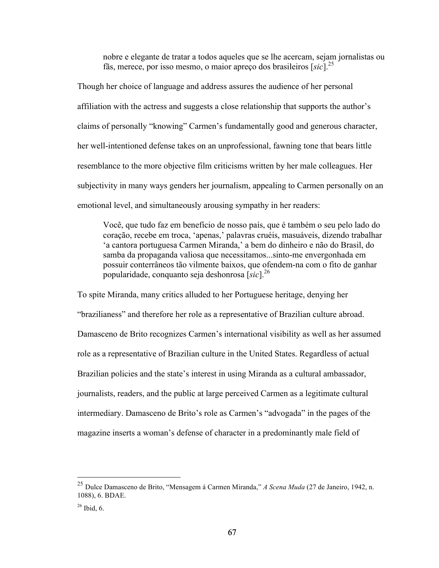nobre e elegante de tratar a todos aqueles que se lhe acercam, sejam jornalistas ou fãs, merece, por isso mesmo, o maior apreço dos brasileiros [*sic*]. 25

Though her choice of language and address assures the audience of her personal affiliation with the actress and suggests a close relationship that supports the author's claims of personally "knowing" Carmen's fundamentally good and generous character, her well-intentioned defense takes on an unprofessional, fawning tone that bears little resemblance to the more objective film criticisms written by her male colleagues. Her subjectivity in many ways genders her journalism, appealing to Carmen personally on an emotional level, and simultaneously arousing sympathy in her readers:

Você, que tudo faz em benefício de nosso país, que é também o seu pelo lado do coração, recebe em troca, 'apenas,' palavras cruéis, masuáveis, dizendo trabalhar 'a cantora portuguesa Carmen Miranda,' a bem do dinheiro e não do Brasil, do samba da propaganda valiosa que necessitamos...sinto-me envergonhada em possuir conterrâneos tão vilmente baixos, que ofendem-na com o fito de ganhar popularidade, conquanto seja deshonrosa [*sic*].<sup>26</sup>

To spite Miranda, many critics alluded to her Portuguese heritage, denying her "brazilianess" and therefore her role as a representative of Brazilian culture abroad. Damasceno de Brito recognizes Carmen's international visibility as well as her assumed role as a representative of Brazilian culture in the United States. Regardless of actual Brazilian policies and the state's interest in using Miranda as a cultural ambassador, journalists, readers, and the public at large perceived Carmen as a legitimate cultural intermediary. Damasceno de Brito's role as Carmen's "advogada" in the pages of the magazine inserts a woman's defense of character in a predominantly male field of

 <sup>25</sup> Dulce Damasceno de Brito, "Mensagem á Carmen Miranda," *A Scena Muda* (27 de Janeiro, 1942, n. 1088), 6. BDAE.

 $26$  Ibid, 6.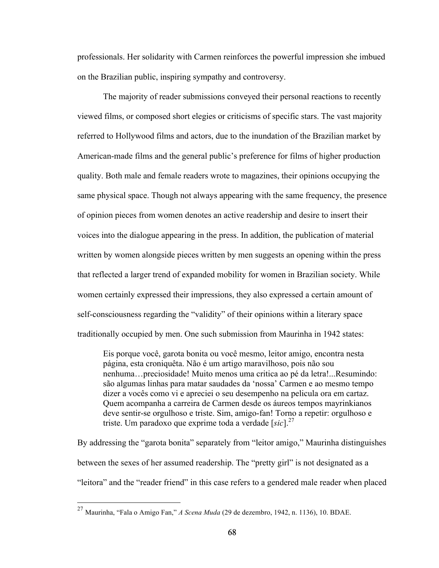professionals. Her solidarity with Carmen reinforces the powerful impression she imbued on the Brazilian public, inspiring sympathy and controversy.

The majority of reader submissions conveyed their personal reactions to recently viewed films, or composed short elegies or criticisms of specific stars. The vast majority referred to Hollywood films and actors, due to the inundation of the Brazilian market by American-made films and the general public's preference for films of higher production quality. Both male and female readers wrote to magazines, their opinions occupying the same physical space. Though not always appearing with the same frequency, the presence of opinion pieces from women denotes an active readership and desire to insert their voices into the dialogue appearing in the press. In addition, the publication of material written by women alongside pieces written by men suggests an opening within the press that reflected a larger trend of expanded mobility for women in Brazilian society. While women certainly expressed their impressions, they also expressed a certain amount of self-consciousness regarding the "validity" of their opinions within a literary space traditionally occupied by men. One such submission from Maurinha in 1942 states:

Eis porque você, garota bonita ou você mesmo, leitor amigo, encontra nesta página, esta croniquêta. Não é um artigo maravilhoso, pois não sou nenhuma…preciosidade! Muito menos uma critica ao pé da letra!...Resumindo: são algumas linhas para matar saudades da 'nossa' Carmen e ao mesmo tempo dizer a vocês como vi e apreciei o seu desempenho na pelicula ora em cartaz. Quem acompanha a carreira de Carmen desde os áureos tempos mayrinkianos deve sentir-se orgulhoso e triste. Sim, amigo-fan! Torno a repetir: orgulhoso e triste. Um paradoxo que exprime toda a verdade [*sic*].27

By addressing the "garota bonita" separately from "leitor amigo," Maurinha distinguishes between the sexes of her assumed readership. The "pretty girl" is not designated as a "leitora" and the "reader friend" in this case refers to a gendered male reader when placed

 <sup>27</sup> Maurinha, "Fala o Amigo Fan," *A Scena Muda* (29 de dezembro, 1942, n. 1136), 10. BDAE.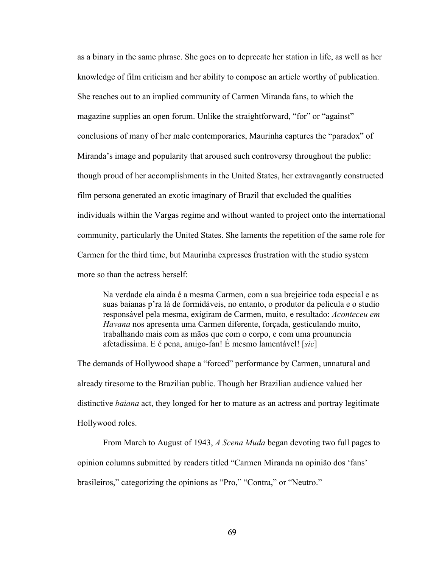as a binary in the same phrase. She goes on to deprecate her station in life, as well as her knowledge of film criticism and her ability to compose an article worthy of publication. She reaches out to an implied community of Carmen Miranda fans, to which the magazine supplies an open forum. Unlike the straightforward, "for" or "against" conclusions of many of her male contemporaries, Maurinha captures the "paradox" of Miranda's image and popularity that aroused such controversy throughout the public: though proud of her accomplishments in the United States, her extravagantly constructed film persona generated an exotic imaginary of Brazil that excluded the qualities individuals within the Vargas regime and without wanted to project onto the international community, particularly the United States. She laments the repetition of the same role for Carmen for the third time, but Maurinha expresses frustration with the studio system more so than the actress herself:

Na verdade ela ainda é a mesma Carmen, com a sua brejeirice toda especial e as suas baianas p'ra lá de formidáveis, no entanto, o produtor da pelicula e o studio responsável pela mesma, exigiram de Carmen, muito, e resultado: *Aconteceu em Havana* nos apresenta uma Carmen diferente, forçada, gesticulando muito, trabalhando mais com as mãos que com o corpo, e com uma proununcia afetadissima. E é pena, amigo-fan! É mesmo lamentável! [*sic*]

The demands of Hollywood shape a "forced" performance by Carmen, unnatural and already tiresome to the Brazilian public. Though her Brazilian audience valued her distinctive *baiana* act, they longed for her to mature as an actress and portray legitimate Hollywood roles.

From March to August of 1943, *A Scena Muda* began devoting two full pages to opinion columns submitted by readers titled "Carmen Miranda na opinião dos 'fans' brasileiros," categorizing the opinions as "Pro," "Contra," or "Neutro."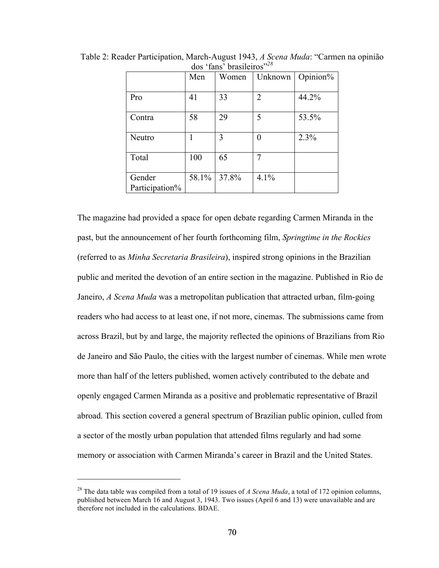|                | Men   | Women | Unknown        | Opinion% |
|----------------|-------|-------|----------------|----------|
|                |       |       |                |          |
| Pro            | 41    | 33    | $\overline{2}$ | 44.2%    |
| Contra         | 58    | 29    | 5              | 53.5%    |
|                |       |       |                |          |
| Neutro         |       | 3     | 0              | 2.3%     |
|                |       |       |                |          |
| Total          | 100   | 65    | 7              |          |
|                |       |       |                |          |
| Gender         | 58.1% | 37.8% | 4.1%           |          |
| Participation% |       |       |                |          |

Table 2: Reader Participation, March-August 1943, *A Scena Muda*: "Carmen na opinião dos 'fans' brasileiros"*<sup>28</sup>*

The magazine had provided a space for open debate regarding Carmen Miranda in the past, but the announcement of her fourth forthcoming film, *Springtime in the Rockies* (referred to as *Minha Secretaria Brasileira*), inspired strong opinions in the Brazilian public and merited the devotion of an entire section in the magazine. Published in Rio de Janeiro, *A Scena Muda* was a metropolitan publication that attracted urban, film-going readers who had access to at least one, if not more, cinemas. The submissions came from across Brazil, but by and large, the majority reflected the opinions of Brazilians from Rio de Janeiro and São Paulo, the cities with the largest number of cinemas. While men wrote more than half of the letters published, women actively contributed to the debate and openly engaged Carmen Miranda as a positive and problematic representative of Brazil abroad. This section covered a general spectrum of Brazilian public opinion, culled from a sector of the mostly urban population that attended films regularly and had some memory or association with Carmen Miranda's career in Brazil and the United States.

 $\overline{a}$ 

<sup>28</sup> The data table was compiled from a total of 19 issues of *A Scena Muda*, a total of 172 opinion columns, published between March 16 and August 3, 1943. Two issues (April 6 and 13) were unavailable and are therefore not included in the calculations. BDAE.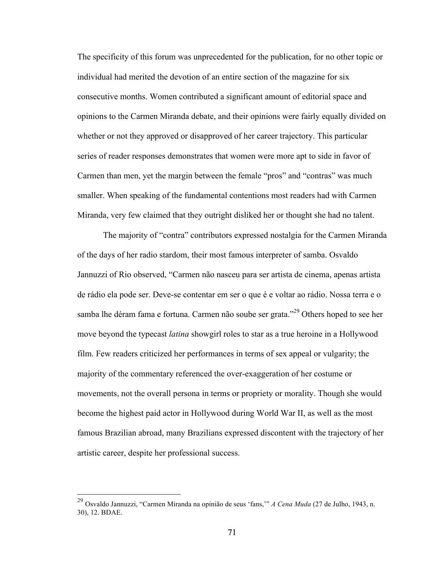The specificity of this forum was unprecedented for the publication, for no other topic or individual had merited the devotion of an entire section of the magazine for six consecutive months. Women contributed a significant amount of editorial space and opinions to the Carmen Miranda debate, and their opinions were fairly equally divided on whether or not they approved or disapproved of her career trajectory. This particular series of reader responses demonstrates that women were more apt to side in favor of Carmen than men, yet the margin between the female "pros" and "contras" was much smaller. When speaking of the fundamental contentions most readers had with Carmen Miranda, very few claimed that they outright disliked her or thought she had no talent.

The majority of "contra" contributors expressed nostalgia for the Carmen Miranda of the days of her radio stardom, their most famous interpreter of samba. Osvaldo Jannuzzi of Rio observed, "Carmen não nasceu para ser artista de cinema, apenas artista de rádio ela pode ser. Deve-se contentar em ser o que é e voltar ao rádio. Nossa terra e o samba lhe déram fama e fortuna. Carmen não soube ser grata."<sup>29</sup> Others hoped to see her move beyond the typecast *latina* showgirl roles to star as a true heroine in a Hollywood film. Few readers criticized her performances in terms of sex appeal or vulgarity; the majority of the commentary referenced the over-exaggeration of her costume or movements, not the overall persona in terms or propriety or morality. Though she would become the highest paid actor in Hollywood during World War II, as well as the most famous Brazilian abroad, many Brazilians expressed discontent with the trajectory of her artistic career, despite her professional success.

 <sup>29</sup> Osvaldo Jannuzzi, "Carmen Miranda na opinião de seus 'fans,'" *A Cena Muda* (27 de Julho, 1943, n. 30), 12. BDAE.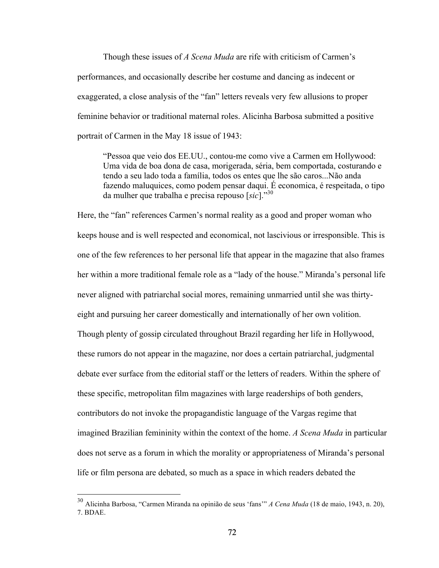Though these issues of *A Scena Muda* are rife with criticism of Carmen's performances, and occasionally describe her costume and dancing as indecent or exaggerated, a close analysis of the "fan" letters reveals very few allusions to proper feminine behavior or traditional maternal roles. Alicinha Barbosa submitted a positive portrait of Carmen in the May 18 issue of 1943:

"Pessoa que veio dos EE.UU., contou-me como vive a Carmen em Hollywood: Uma vida de boa dona de casa, morigerada, séria, bem comportada, costurando e tendo a seu lado toda a família, todos os entes que lhe são caros...Não anda fazendo maluquices, como podem pensar daqui. É economica, é respeitada, o tipo da mulher que trabalha e precisa repouso [*sic*]."30

Here, the "fan" references Carmen's normal reality as a good and proper woman who keeps house and is well respected and economical, not lascivious or irresponsible. This is one of the few references to her personal life that appear in the magazine that also frames her within a more traditional female role as a "lady of the house." Miranda's personal life never aligned with patriarchal social mores, remaining unmarried until she was thirtyeight and pursuing her career domestically and internationally of her own volition. Though plenty of gossip circulated throughout Brazil regarding her life in Hollywood, these rumors do not appear in the magazine, nor does a certain patriarchal, judgmental debate ever surface from the editorial staff or the letters of readers. Within the sphere of these specific, metropolitan film magazines with large readerships of both genders, contributors do not invoke the propagandistic language of the Vargas regime that imagined Brazilian femininity within the context of the home. *A Scena Muda* in particular does not serve as a forum in which the morality or appropriateness of Miranda's personal life or film persona are debated, so much as a space in which readers debated the

 <sup>30</sup> Alicinha Barbosa, "Carmen Miranda na opinião de seus 'fans'" *A Cena Muda* (18 de maio, 1943, n. 20), 7. BDAE.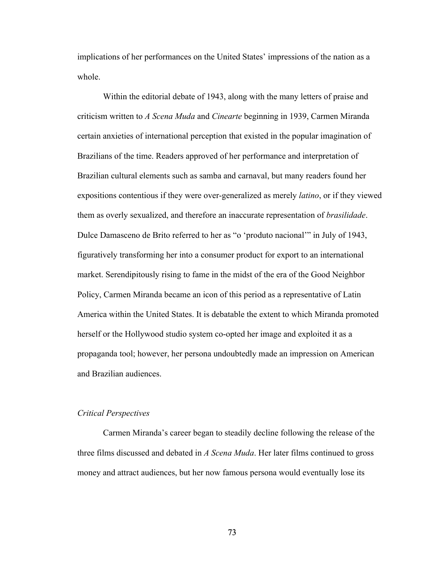implications of her performances on the United States' impressions of the nation as a whole.

Within the editorial debate of 1943, along with the many letters of praise and criticism written to *A Scena Muda* and *Cinearte* beginning in 1939, Carmen Miranda certain anxieties of international perception that existed in the popular imagination of Brazilians of the time. Readers approved of her performance and interpretation of Brazilian cultural elements such as samba and carnaval, but many readers found her expositions contentious if they were over-generalized as merely *latino*, or if they viewed them as overly sexualized, and therefore an inaccurate representation of *brasilidade*. Dulce Damasceno de Brito referred to her as "o 'produto nacional'" in July of 1943, figuratively transforming her into a consumer product for export to an international market. Serendipitously rising to fame in the midst of the era of the Good Neighbor Policy, Carmen Miranda became an icon of this period as a representative of Latin America within the United States. It is debatable the extent to which Miranda promoted herself or the Hollywood studio system co-opted her image and exploited it as a propaganda tool; however, her persona undoubtedly made an impression on American and Brazilian audiences.

# *Critical Perspectives*

Carmen Miranda's career began to steadily decline following the release of the three films discussed and debated in *A Scena Muda*. Her later films continued to gross money and attract audiences, but her now famous persona would eventually lose its

73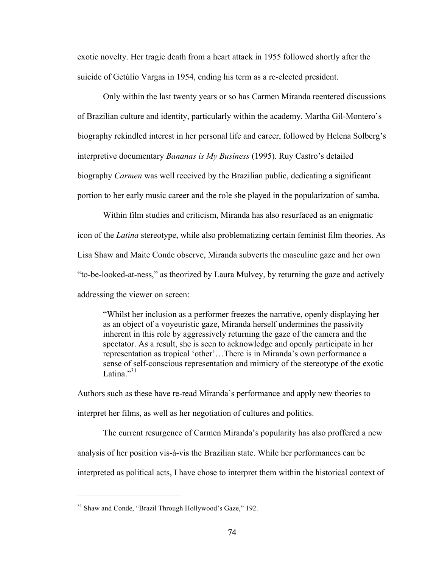exotic novelty. Her tragic death from a heart attack in 1955 followed shortly after the suicide of Getúlio Vargas in 1954, ending his term as a re-elected president.

Only within the last twenty years or so has Carmen Miranda reentered discussions of Brazilian culture and identity, particularly within the academy. Martha Gil-Montero's biography rekindled interest in her personal life and career, followed by Helena Solberg's interpretive documentary *Bananas is My Business* (1995). Ruy Castro's detailed biography *Carmen* was well received by the Brazilian public, dedicating a significant portion to her early music career and the role she played in the popularization of samba.

Within film studies and criticism, Miranda has also resurfaced as an enigmatic icon of the *Latina* stereotype, while also problematizing certain feminist film theories. As Lisa Shaw and Maite Conde observe, Miranda subverts the masculine gaze and her own "to-be-looked-at-ness," as theorized by Laura Mulvey, by returning the gaze and actively addressing the viewer on screen:

"Whilst her inclusion as a performer freezes the narrative, openly displaying her as an object of a voyeuristic gaze, Miranda herself undermines the passivity inherent in this role by aggressively returning the gaze of the camera and the spectator. As a result, she is seen to acknowledge and openly participate in her representation as tropical 'other'…There is in Miranda's own performance a sense of self-conscious representation and mimicry of the stereotype of the exotic Latina $^{31}$ 

Authors such as these have re-read Miranda's performance and apply new theories to interpret her films, as well as her negotiation of cultures and politics.

The current resurgence of Carmen Miranda's popularity has also proffered a new analysis of her position vis-à-vis the Brazilian state. While her performances can be interpreted as political acts, I have chose to interpret them within the historical context of

 $\overline{a}$ 

<sup>&</sup>lt;sup>31</sup> Shaw and Conde, "Brazil Through Hollywood's Gaze," 192.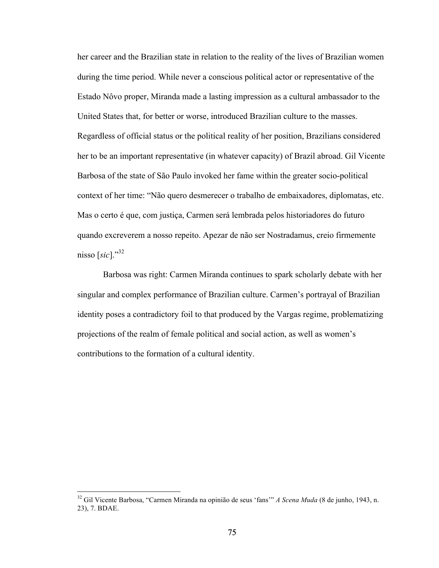her career and the Brazilian state in relation to the reality of the lives of Brazilian women during the time period. While never a conscious political actor or representative of the Estado Nôvo proper, Miranda made a lasting impression as a cultural ambassador to the United States that, for better or worse, introduced Brazilian culture to the masses. Regardless of official status or the political reality of her position, Brazilians considered her to be an important representative (in whatever capacity) of Brazil abroad. Gil Vicente Barbosa of the state of São Paulo invoked her fame within the greater socio-political context of her time: "Não quero desmerecer o trabalho de embaixadores, diplomatas, etc. Mas o certo é que, com justiça, Carmen será lembrada pelos historiadores do futuro quando excreverem a nosso repeito. Apezar de não ser Nostradamus, creio firmemente nisso  $[sic]$ <sup>32</sup>.

Barbosa was right: Carmen Miranda continues to spark scholarly debate with her singular and complex performance of Brazilian culture. Carmen's portrayal of Brazilian identity poses a contradictory foil to that produced by the Vargas regime, problematizing projections of the realm of female political and social action, as well as women's contributions to the formation of a cultural identity.

 <sup>32</sup> Gil Vicente Barbosa, "Carmen Miranda na opinião de seus 'fans'" *A Scena Muda* (8 de junho, 1943, n. 23), 7. BDAE.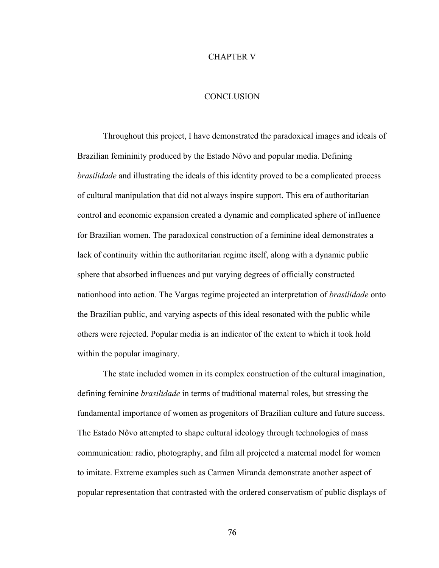### CHAPTER V

### **CONCLUSION**

Throughout this project, I have demonstrated the paradoxical images and ideals of Brazilian femininity produced by the Estado Nôvo and popular media. Defining *brasilidade* and illustrating the ideals of this identity proved to be a complicated process of cultural manipulation that did not always inspire support. This era of authoritarian control and economic expansion created a dynamic and complicated sphere of influence for Brazilian women. The paradoxical construction of a feminine ideal demonstrates a lack of continuity within the authoritarian regime itself, along with a dynamic public sphere that absorbed influences and put varying degrees of officially constructed nationhood into action. The Vargas regime projected an interpretation of *brasilidade* onto the Brazilian public, and varying aspects of this ideal resonated with the public while others were rejected. Popular media is an indicator of the extent to which it took hold within the popular imaginary.

The state included women in its complex construction of the cultural imagination, defining feminine *brasilidade* in terms of traditional maternal roles, but stressing the fundamental importance of women as progenitors of Brazilian culture and future success. The Estado Nôvo attempted to shape cultural ideology through technologies of mass communication: radio, photography, and film all projected a maternal model for women to imitate. Extreme examples such as Carmen Miranda demonstrate another aspect of popular representation that contrasted with the ordered conservatism of public displays of

76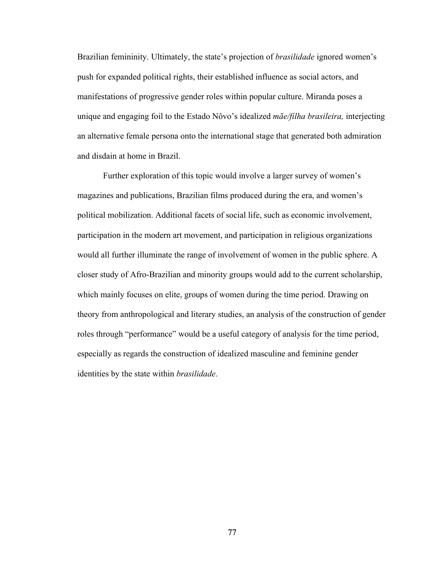Brazilian femininity. Ultimately, the state's projection of *brasilidade* ignored women's push for expanded political rights, their established influence as social actors, and manifestations of progressive gender roles within popular culture. Miranda poses a unique and engaging foil to the Estado Nôvo's idealized *mãe/filha brasileira,* interjecting an alternative female persona onto the international stage that generated both admiration and disdain at home in Brazil.

Further exploration of this topic would involve a larger survey of women's magazines and publications, Brazilian films produced during the era, and women's political mobilization. Additional facets of social life, such as economic involvement, participation in the modern art movement, and participation in religious organizations would all further illuminate the range of involvement of women in the public sphere. A closer study of Afro-Brazilian and minority groups would add to the current scholarship, which mainly focuses on elite, groups of women during the time period. Drawing on theory from anthropological and literary studies, an analysis of the construction of gender roles through "performance" would be a useful category of analysis for the time period, especially as regards the construction of idealized masculine and feminine gender identities by the state within *brasilidade*.

77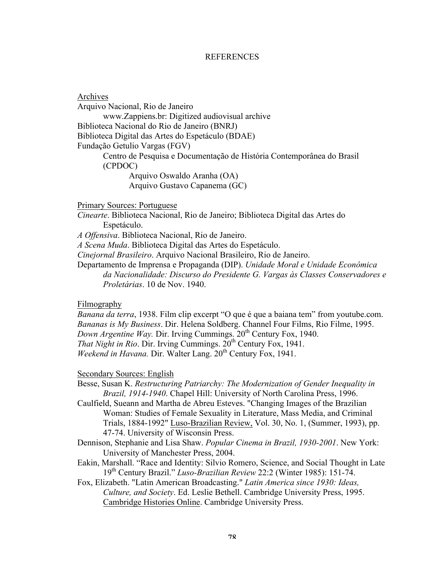## **REFERENCES**

Archives Arquivo Nacional, Rio de Janeiro www.Zappiens.br: Digitized audiovisual archive Biblioteca Nacional do Rio de Janeiro (BNRJ) Biblioteca Digital das Artes do Espetáculo (BDAE) Fundação Getulio Vargas (FGV) Centro de Pesquisa e Documentação de História Contemporânea do Brasil (CPDOC) Arquivo Oswaldo Aranha (OA) Arquivo Gustavo Capanema (GC)

Primary Sources: Portuguese

*Cinearte*. Biblioteca Nacional, Rio de Janeiro; Biblioteca Digital das Artes do Espetáculo.

*A Offensiva*. Biblioteca Nacional, Rio de Janeiro.

*A Scena Muda*. Biblioteca Digital das Artes do Espetáculo.

*Cinejornal Brasileiro*. Arquivo Nacional Brasileiro, Rio de Janeiro.

Departamento de Imprensa e Propaganda (DIP). *Unidade Moral e Unidade Econômica da Nacionalidade: Discurso do Presidente G. Vargas às Classes Conservadores e Proletárias*. 10 de Nov. 1940.

#### Filmography

*Banana da terra*, 1938. Film clip excerpt "O que é que a baiana tem" from youtube.com. *Bananas is My Business*. Dir. Helena Soldberg. Channel Four Films, Rio Filme, 1995. *Down Argentine Way.* Dir. Irving Cummings. 20<sup>th</sup> Century Fox, 1940. *That Night in Rio.* Dir. Irving Cummings.  $20<sup>th</sup>$  Century Fox, 1941. *Weekend in Havana.* Dir. Walter Lang. 20<sup>th</sup> Century Fox, 1941.

#### Secondary Sources: English

Besse, Susan K. *Restructuring Patriarchy: The Modernization of Gender Inequality in Brazil, 1914-1940*. Chapel Hill: University of North Carolina Press, 1996.

- Caulfield, Sueann and Martha de Abreu Esteves. "Changing Images of the Brazilian Woman: Studies of Female Sexuality in Literature, Mass Media, and Criminal Trials, 1884-1992" Luso-Brazilian Review, Vol. 30, No. 1, (Summer, 1993), pp. 47-74. University of Wisconsin Press.
- Dennison, Stephanie and Lisa Shaw. *Popular Cinema in Brazil, 1930-2001*. New York: University of Manchester Press, 2004.
- Eakin, Marshall. "Race and Identity: Silvio Romero, Science, and Social Thought in Late 19th Century Brazil." *Luso-Brazilian Review* 22:2 (Winter 1985): 151-74.
- Fox, Elizabeth. "Latin American Broadcasting." *Latin America since 1930: Ideas, Culture, and Society*. Ed. Leslie Bethell. Cambridge University Press, 1995. Cambridge Histories Online. Cambridge University Press.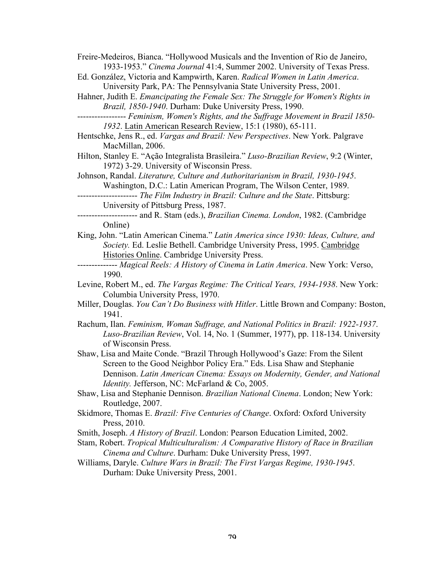Freire-Medeiros, Bianca. "Hollywood Musicals and the Invention of Rio de Janeiro, 1933-1953." *Cinema Journal* 41:4, Summer 2002. University of Texas Press.

- Ed. González, Victoria and Kampwirth, Karen. *Radical Women in Latin America*. University Park, PA: The Pennsylvania State University Press, 2001.
- Hahner, Judith E. *Emancipating the Female Sex: The Struggle for Women's Rights in Brazil, 1850-1940*. Durham: Duke University Press, 1990.
- ----------------- *Feminism, Women's Rights, and the Suffrage Movement in Brazil 1850- 1932*. Latin American Research Review, 15:1 (1980), 65-111.
- Hentschke, Jens R., ed. *Vargas and Brazil: New Perspectives*. New York. Palgrave MacMillan, 2006.
- Hilton, Stanley E. "Ação Integralista Brasileira." *Luso-Brazilian Review*, 9:2 (Winter, 1972) 3-29. University of Wisconsin Press.

Johnson, Randal. *Literature, Culture and Authoritarianism in Brazil, 1930-1945*. Washington, D.C.: Latin American Program, The Wilson Center, 1989.

- --------------------- *The Film Industry in Brazil: Culture and the State*. Pittsburg: University of Pittsburg Press, 1987.
- --------------------- and R. Stam (eds.), *Brazilian Cinema. London*, 1982. (Cambridge Online)
- King, John. "Latin American Cinema." *Latin America since 1930: Ideas, Culture, and Society.* Ed. Leslie Bethell. Cambridge University Press, 1995. Cambridge Histories Online. Cambridge University Press.
- -------------- *Magical Reels: A History of Cinema in Latin America*. New York: Verso, 1990.
- Levine, Robert M., ed. *The Vargas Regime: The Critical Years, 1934-1938*. New York: Columbia University Press, 1970.
- Miller, Douglas. *You Can't Do Business with Hitler*. Little Brown and Company: Boston, 1941.
- Rachum, Ilan. *Feminism, Woman Suffrage, and National Politics in Brazil: 1922-1937*. *Luso-Brazilian Review*, Vol. 14, No. 1 (Summer, 1977), pp. 118-134. University of Wisconsin Press.
- Shaw, Lisa and Maite Conde. "Brazil Through Hollywood's Gaze: From the Silent Screen to the Good Neighbor Policy Era." Eds. Lisa Shaw and Stephanie Dennison. *Latin American Cinema: Essays on Modernity, Gender, and National Identity.* Jefferson, NC: McFarland & Co, 2005.
- Shaw, Lisa and Stephanie Dennison. *Brazilian National Cinema*. London; New York: Routledge, 2007.
- Skidmore, Thomas E. *Brazil: Five Centuries of Change*. Oxford: Oxford University Press, 2010.
- Smith, Joseph. *A History of Brazil*. London: Pearson Education Limited, 2002.
- Stam, Robert. *Tropical Multiculturalism: A Comparative History of Race in Brazilian Cinema and Culture*. Durham: Duke University Press, 1997.
- Williams, Daryle. *Culture Wars in Brazil: The First Vargas Regime, 1930-1945*. Durham: Duke University Press, 2001.